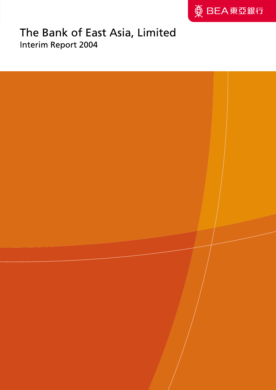

# The Bank of East Asia, Limited Interim Report 2004

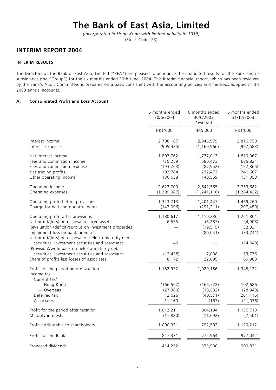# **The Bank of East Asia, Limited**

*(Incorporated in Hong Kong with limited liability in 1918)* (Stock Code: 23)

## **INTERIM REPORT 2004**

## **INTERIM RESULTS**

The Directors of The Bank of East Asia, Limited ("BEA") are pleased to announce the unaudited results<sup>1</sup> of the Bank and its subsidiaries (the "Group") for the six months ended 30th June, 2004. This interim financial report, which has been reviewed by the Bank's Audit Committee, is prepared on a basis consistent with the accounting policies and methods adopted in the 2003 annual accounts.

## **A. Consolidated Profit and Loss Account**

|                                                                                                                                                                                                                                            | 6 months ended<br>30/6/2004                              | 6 months ended<br>30/6/2003<br>Restated                 | 6 months ended<br>31/12/2003                             |
|--------------------------------------------------------------------------------------------------------------------------------------------------------------------------------------------------------------------------------------------|----------------------------------------------------------|---------------------------------------------------------|----------------------------------------------------------|
|                                                                                                                                                                                                                                            | HK\$'000                                                 | HK\$'000                                                | HK\$'000                                                 |
| Interest income<br>Interest expense                                                                                                                                                                                                        | 2,708,187<br>(905, 425)                                  | 2,946,979<br>(1, 169, 966)                              | 2,816,750<br>(997, 683)                                  |
| Net interest income<br>Fees and commission income<br>Fees and commission expense<br>Net trading profits<br>Other operating income                                                                                                          | 1,802,762<br>775,259<br>(193, 763)<br>102,784<br>136,658 | 1,777,013<br>580,473<br>(87, 952)<br>232,472<br>140,559 | 1,819,067<br>685,821<br>(122, 866)<br>240,607<br>131,053 |
| Operating income<br>Operating expenses                                                                                                                                                                                                     | 2,623,700<br>(1, 299, 987)                               | 2,642,565<br>(1, 241, 118)                              | 2,753,682<br>(1, 284, 422)                               |
| Operating profit before provisions<br>Charge for bad and doubtful debts                                                                                                                                                                    | 1,323,713<br>(143,096)                                   | 1,401,447<br>(291, 211)                                 | 1,469,260<br>(207, 459)                                  |
| Operating profit after provisions<br>Net profit/(loss) on disposal of fixed assets<br>Revaluation (deficit)/surplus on investment properties<br>Impairment loss on bank premises<br>Net profit/(loss) on disposal of held-to-maturity debt | 1,180,617<br>6,575                                       | 1,110,236<br>(6, 287)<br>(19, 515)<br>(80, 041)         | 1,261,801<br>(4,908)<br>32,331<br>(33, 741)              |
| securities, investment securities and associates<br>(Provision)/write back on held-to-maturity debt<br>securities, investment securities and associates<br>Share of profits less losses of associates                                      | 46<br>(12, 438)<br>8,172                                 | 2,098<br>22,695                                         | (14, 040)<br>13,776<br>89,903                            |
| Profit for the period before taxation<br>Income tax                                                                                                                                                                                        | 1,182,972                                                | 1,029,186                                               | 1,345,122                                                |
| Current tax <sup>2</sup><br>- Hong Kong<br>— Overseas<br>Deferred tax<br>Associates                                                                                                                                                        | (166, 567)<br>(27, 380)<br>12,026<br>11,160              | (165, 722)<br>(18, 532)<br>(40, 571)<br>(167)           | 102,686<br>(28, 943)<br>(261, 116)<br>(21, 036)          |
| Profit for the period after taxation<br>Minority interests                                                                                                                                                                                 | 1,012,211<br>(11, 880)                                   | 804,194<br>(11, 692)                                    | 1,136,713<br>(7, 501)                                    |
| Profit attributable to shareholders                                                                                                                                                                                                        | 1,000,331                                                | 792,502                                                 | 1,129,212                                                |
| Profit for the Bank                                                                                                                                                                                                                        | 847,331                                                  | 772,964                                                 | 977,042                                                  |
| Proposed dividends                                                                                                                                                                                                                         | 414,252                                                  | 333,930                                                 | 909,821                                                  |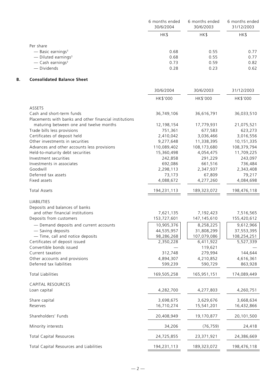|                                   | 6 months ended<br>30/6/2004 | 6 months ended<br>30/6/2003 | 6 months ended<br>31/12/2003 |
|-----------------------------------|-----------------------------|-----------------------------|------------------------------|
|                                   | HK\$                        | HK\$                        | HK\$                         |
| Per share                         |                             |                             |                              |
| — Basic earnings <sup>3</sup>     | 0.68                        | 0.55                        | 0.77                         |
| $-$ Diluted earnings <sup>3</sup> | 0.68                        | 0.55                        | 0.77                         |
| $-$ Cash earnings <sup>3</sup>    | 0.73                        | 0.59                        | 0.82                         |
| — Dividends                       | 0.28                        | 0.23                        | 0.62                         |

## **B. Consolidated Balance Sheet**

|                                                                 | 30/6/2004              | 30/6/2003               | 31/12/2003              |
|-----------------------------------------------------------------|------------------------|-------------------------|-------------------------|
|                                                                 | HK\$'000               | HK\$'000                | HK\$'000                |
| ASSETS                                                          |                        |                         |                         |
| Cash and short-term funds                                       | 36,749,106             | 36,616,791              | 36,033,510              |
| Placements with banks and other financial institutions          |                        |                         |                         |
| maturing between one and twelve months                          | 12,198,154             | 17,779,931              | 21,075,521              |
| Trade bills less provisions                                     | 751,361                | 677,583                 | 623,273                 |
| Certificates of deposit held<br>Other investments in securities | 2,410,042<br>9,277,648 | 3,036,466<br>11,338,395 | 3,016,556<br>10,151,335 |
| Advances and other accounts less provisions                     | 110,089,402            | 108,173,680             | 108,379,794             |
| Held-to-maturity debt securities                                | 15,360,498             | 4,054,475               | 11,709,225              |
| Investment securities                                           | 242,858                | 291,229                 | 243,097                 |
| Investments in associates                                       | 692,086                | 661,516                 | 736,484                 |
| Goodwill                                                        | 2,298,113              | 2,347,937               | 2,343,408               |
| Deferred tax assets                                             | 73,173                 | 67,809                  | 79,217                  |
| Fixed assets                                                    | 4,088,672              | 4,277,260               | 4,084,698               |
| <b>Total Assets</b>                                             | 194,231,113            | 189,323,072             | 198,476,118             |
| <b>LIABILITIES</b>                                              |                        |                         |                         |
| Deposits and balances of banks                                  |                        |                         |                         |
| and other financial institutions                                | 7,621,135              | 7,192,423               | 7,516,565               |
| Deposits from customers                                         | 153,727,601            | 147, 145, 610           | 155,420,612             |
| - Demand deposits and current accounts                          | 10,905,376             | 8,258,225               | 9,612,966               |
| - Saving deposits                                               | 44,535,957             | 31,808,299              | 37,553,395              |
| - Time, call and notice deposits                                | 98,286,268             | 107,079,086             | 108,254,251             |
| Certificates of deposit issued                                  | 2,350,228              | 6,411,922               | 5,527,339               |
| Convertible bonds issued                                        |                        | 119,621                 |                         |
| Current taxation                                                | 312,748                | 279,994                 | 144,644                 |
| Other accounts and provisions                                   | 4,894,307              | 4,210,852               | 4,616,361               |
| Deferred tax liabilities                                        | 599,239                | 590,729                 | 863,928                 |
| <b>Total Liabilities</b>                                        | 169,505,258            | 165,951,151             | 174,089,449             |
| <b>CAPITAL RESOURCES</b>                                        |                        |                         |                         |
| Loan capital                                                    | 4,282,700              | 4,277,803               | 4,260,751               |
| Share capital                                                   | 3,698,675              | 3,629,676               | 3,668,634               |
| Reserves                                                        | 16,710,274             | 15,541,201              | 16,432,866              |
|                                                                 |                        |                         |                         |
| Shareholders' Funds                                             | 20,408,949             | 19,170,877              | 20,101,500              |
| Minority interests                                              | 34,206                 | (76, 759)               | 24,418                  |
| <b>Total Capital Resources</b>                                  | 24,725,855             | 23,371,921              | 24,386,669              |
| Total Capital Resources and Liabilities                         | 194,231,113            | 189,323,072             | 198,476,118             |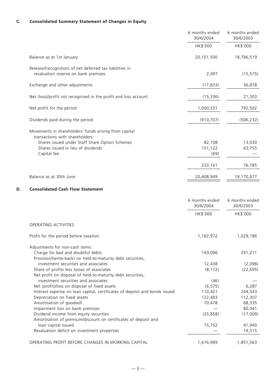## **C. Consolidated Summary Statement of Changes in Equity**

|                                                                            | 6 months ended<br>30/6/2004 | 6 months ended<br>30/6/2003 |
|----------------------------------------------------------------------------|-----------------------------|-----------------------------|
|                                                                            | HK\$'000                    | HK\$'000                    |
| Balance as at 1st January                                                  | 20,101,500                  | 18,786,519                  |
| Release/(recognition) of net deferred tax liabilities in                   |                             |                             |
| revaluation reserve on bank premises                                       | 2,497                       | (15, 575)                   |
| Exchange and other adjustments                                             | (17, 833)                   | 36,878                      |
| Net (loss)/profit not recognised in the profit and loss account            | (15, 336)                   | 21,303                      |
| Net profit for the period                                                  | 1,000,331                   | 792,502                     |
| Dividends paid during the period                                           | (910, 707)                  | (506, 232)                  |
| Movements in shareholders' funds arising from capital                      |                             |                             |
| transactions with shareholders:                                            |                             |                             |
| Shares issued under Staff Share Option Schemes                             | 82,108                      | 13,030                      |
| Shares issued in lieu of dividends                                         | 151,122                     | 63,755                      |
| Capital fee                                                                | (69)                        |                             |
|                                                                            | 233,161                     | 76,785                      |
| Balance as at 30th June                                                    | 20,408,949                  | 19,170,877                  |
| D.<br><b>Consolidated Cash Flow Statement</b>                              |                             |                             |
|                                                                            |                             |                             |
|                                                                            | 6 months ended<br>30/6/2004 | 6 months ended<br>30/6/2003 |
|                                                                            | HK\$'000                    | HK\$'000                    |
| OPERATING ACTIVITIES                                                       |                             |                             |
| Profit for the period before taxation                                      | 1,182,972                   | 1,029,186                   |
| Adjustments for non-cash items:                                            |                             |                             |
| Charge for bad and doubtful debts                                          | 143,096                     | 291,211                     |
| Provision/(write-back) on held-to-maturity debt securities,                |                             |                             |
| investment securities and associates                                       | 12,438                      | (2,098)                     |
| Share of profits less losses of associates                                 | (8, 172)                    | (22, 695)                   |
| Net profit on disposal of held-to-maturity debt securities,                |                             |                             |
| investment securities and associates                                       | (46)                        |                             |
| Net (profit)/loss on disposal of fixed assets                              | (6, 575)                    | 6,287                       |
| Interest expense on loan capital, certificates of deposit and bonds issued | 110,421                     | 244,543                     |
| Depreciation on fixed assets                                               | 122,483                     | 112,307                     |
| Amortisation of goodwill                                                   | 70,478                      | 68,335                      |
| Impairment loss on bank premises                                           |                             | 80,041                      |
| Dividend income from equity securities                                     | (25, 858)                   | (17,009)                    |
| Amortisation of premium/discount on certificates of deposit and            |                             |                             |
| loan capital issued<br>Revaluation deficit on investment properties        | 15,752                      | 41,940<br>19,515            |
|                                                                            |                             |                             |
| OPERATING PROFIT BEFORE CHANGES IN WORKING CAPITAL                         | 1,616,989                   | 1,851,563                   |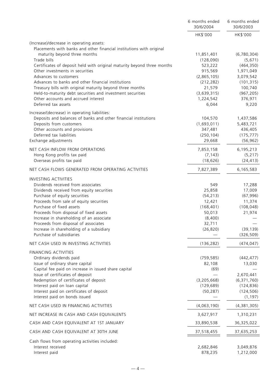|                                                                                                            | 6 months ended<br>30/6/2004 | 6 months ended<br>30/6/2003 |
|------------------------------------------------------------------------------------------------------------|-----------------------------|-----------------------------|
|                                                                                                            | HK\$'000                    | HK\$'000                    |
| (Increase)/decrease in operating assets:                                                                   |                             |                             |
| Placements with banks and other financial institutions with original                                       |                             |                             |
| maturity beyond three months                                                                               | 11,851,401                  | (6,780,304)                 |
| Trade bills                                                                                                | (128,090)                   | (5,671)                     |
| Certificates of deposit held with original maturity beyond three months<br>Other investments in securities | 523,222<br>915,569          | (464, 350)<br>1,971,049     |
| Advances to customers                                                                                      | (2,865,105)                 | 3,079,542                   |
| Advances to banks and other financial institutions                                                         | (212, 282)                  | (101, 315)                  |
| Treasury bills with original maturity beyond three months                                                  | 21,579                      | 100,740                     |
| Held-to-maturity debt securities and investment securities                                                 | (3,639,315)                 | (967, 205)                  |
| Other accounts and accrued interest                                                                        | 1,224,542                   | 376,971                     |
| Deferred tax assets                                                                                        | 6,044                       | 9,220                       |
| Increase/(decrease) in operating liabilities:                                                              |                             |                             |
| Deposits and balances of banks and other financial institutions                                            | 104,570                     | 1,437,586                   |
| Deposits from customers                                                                                    | (1,693,011)                 | 5,483,721                   |
| Other accounts and provisions                                                                              | 347,481                     | 436,405                     |
| Deferred tax liabilities                                                                                   | (250, 104)                  | (175, 777)                  |
| Exchange adjustments                                                                                       | 29,668                      | (56, 962)                   |
| NET CASH INFLOW FROM OPERATIONS                                                                            | 7,853,158                   | 6,195,213                   |
| Hong Kong profits tax paid                                                                                 | (7, 143)                    | (5, 217)                    |
| Overseas profits tax paid                                                                                  | (18, 626)                   | (24, 413)                   |
| NET CASH FLOWS GENERATED FROM OPERATING ACTIVITIES                                                         | 7,827,389                   | 6,165,583                   |
| <b>INVESTING ACTIVITIES</b>                                                                                |                             |                             |
| Dividends received from associates                                                                         | 549                         | 17,288                      |
| Dividends received from equity securities                                                                  | 25,858                      | 17,009                      |
| Purchase of equity securities                                                                              | (54, 213)                   | (67, 996)                   |
| Proceeds from sale of equity securities                                                                    | 12,421                      | 11,374                      |
| Purchase of fixed assets                                                                                   | (168, 401)                  | (108, 048)                  |
| Proceeds from disposal of fixed assets                                                                     | 50,013                      | 21,974                      |
| Increase in shareholding of an associate                                                                   | (8,400)                     |                             |
| Proceeds from disposal of associates                                                                       | 32,711                      |                             |
| Increase in shareholding of a subsidiary<br>Purchase of subsidiaries                                       | (26, 820)                   | (39, 139)<br>(326, 509)     |
|                                                                                                            |                             |                             |
| NET CASH USED IN INVESTING ACTIVITIES                                                                      | (136, 282)                  | (474, 047)                  |
| FINANCING ACTIVITIES<br>Ordinary dividends paid                                                            | (759, 585)                  | (442, 477)                  |
| Issue of ordinary share capital                                                                            | 82,108                      | 13,030                      |
| Capital fee paid on increase in issued share capital                                                       | (69)                        |                             |
| Issue of certificates of deposit                                                                           |                             | 2,670,441                   |
| Redemption of certificates of deposit                                                                      | (3, 205, 668)               | (6, 371, 760)               |
| Interest paid on loan capital                                                                              | (129, 689)                  | (124, 836)                  |
| Interest paid on certificates of deposit                                                                   | (50, 287)                   | (124, 506)                  |
| Interest paid on bonds issued                                                                              |                             | (1, 197)                    |
| NET CASH USED IN FINANCING ACTIVITIES                                                                      | (4,063,190)                 | (4,381,305)                 |
| NET INCREASE IN CASH AND CASH EQUIVALENTS                                                                  | 3,627,917                   | 1,310,231                   |
| CASH AND CASH EQUIVALENT AT 1ST JANUARY                                                                    | 33,890,538                  | 36,325,022                  |
| CASH AND CASH EQUIVALENT AT 30TH JUNE                                                                      | 37,518,455                  | 37,635,253                  |
| Cash flows from operating activities included:                                                             |                             |                             |
| Interest received                                                                                          | 2,682,846                   | 3,049,876                   |
| Interest paid                                                                                              | 878,235                     | 1,212,000                   |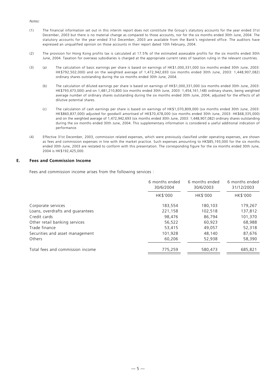*Notes:*

- (1) The financial information set out in this interim report does not constitute the Group's statutory accounts for the year ended 31st December, 2003 but there is no material change as compared to those accounts, nor for the six months ended 30th June, 2004. The statutory accounts for the year ended 31st December, 2003 are available from the Bank's registered office. The auditors have expressed an unqualified opinion on those accounts in their report dated 10th February, 2004.
- (2) The provision for Hong Kong profits tax is calculated at 17.5% of the estimated assessable profits for the six months ended 30th June, 2004. Taxation for overseas subsidiaries is charged at the appropriate current rates of taxation ruling in the relevant countries.
- (3) (a) The calculation of basic earnings per share is based on earnings of HK\$1,000,331,000 (six months ended 30th June, 2003: HK\$792,502,000) and on the weighted average of 1,472,942,693 (six months ended 30th June, 2003: 1,448,907,082) ordinary shares outstanding during the six months ended 30th June, 2004.
	- (b) The calculation of diluted earnings per share is based on earnings of HK\$1,000,331,000 (six months ended 30th June, 2003: HK\$793,473,000) and on 1,481,210,800 (six months ended 30th June, 2003: 1,454,161,148) ordinary shares, being weighted average number of ordinary shares outstanding during the six months ended 30th June, 2004, adjusted for the effects of all dilutive potential shares.
	- (c) The calculation of cash earnings per share is based on earnings of HK\$1,070,809,000 (six months ended 30th June, 2003: HK\$860,837,000) adjusted for goodwill amortised of HK\$70,478,000 (six months ended 30th June, 2003: HK\$68,335,000) and on the weighted average of 1,472,942,693 (six months ended 30th June, 2003: 1,448,907,082) ordinary shares outstanding during the six months ended 30th June, 2004. This supplementary information is considered a useful additional indication of performance.
- (4) Effective 31st December, 2003, commission related expenses, which were previously classified under operating expenses, are shown as fees and commission expenses in line with the market practice. Such expenses amounting to HK\$85,193,000 for the six months ended 30th June, 2003 are restated to conform with this presentation. The corresponding figure for the six months ended 30th June, 2004 is HK\$192,425,000.

## **E. Fees and Commission Income**

Fees and commission income arises from the following services :

|                                  | 6 months ended<br>30/6/2004 | 6 months ended<br>30/6/2003 | 6 months ended<br>31/12/2003 |  |
|----------------------------------|-----------------------------|-----------------------------|------------------------------|--|
|                                  | HK\$'000                    | HK\$'000                    | HK\$'000                     |  |
| Corporate services               | 183,554                     | 180,103                     | 179,267                      |  |
| Loans, overdrafts and guarantees | 221,158                     | 102,518                     | 137,812                      |  |
| Credit cards                     | 98,476                      | 86,794                      | 101,370                      |  |
| Other retail banking services    | 56,522                      | 60,923                      | 68,988                       |  |
| Trade finance                    | 53,415                      | 49,057                      | 52,318                       |  |
| Securities and asset management  | 101,928                     | 48,140                      | 87,676                       |  |
| Others                           | 60,206                      | 52,938                      | 58,390                       |  |
| Total fees and commission income | 775,259                     | 580,473                     | 685,821                      |  |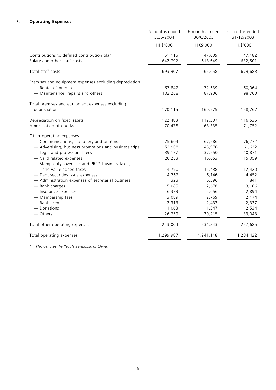## **F. Operating Expenses**

|                                                        | 6 months ended<br>30/6/2004 | 6 months ended<br>30/6/2003 | 6 months ended<br>31/12/2003 |
|--------------------------------------------------------|-----------------------------|-----------------------------|------------------------------|
|                                                        | HK\$'000                    | HK\$'000                    | HK\$'000                     |
| Contributions to defined contribution plan             | 51,115                      | 47,009                      | 47,182                       |
| Salary and other staff costs                           | 642,792                     | 618,649                     | 632,501                      |
| Total staff costs                                      | 693,907                     | 665,658                     | 679,683                      |
| Premises and equipment expenses excluding depreciation |                             |                             |                              |
| - Rental of premises                                   | 67,847                      | 72,639                      | 60,064                       |
| - Maintenance, repairs and others                      | 102,268                     | 87,936                      | 98,703                       |
| Total premises and equipment expenses excluding        |                             |                             |                              |
| depreciation                                           | 170,115                     | 160,575                     | 158,767                      |
| Depreciation on fixed assets                           | 122,483                     | 112,307                     | 116,535                      |
| Amortisation of goodwill                               | 70,478                      | 68,335                      | 71,752                       |
| Other operating expenses                               |                             |                             |                              |
| - Communications, stationery and printing              | 75,604                      | 67,586                      | 76,272                       |
| - Advertising, business promotions and business trips  | 53,908                      | 45,976                      | 61,622                       |
| - Legal and professional fees                          | 39,177                      | 37,550                      | 40,871                       |
| - Card related expenses                                | 20,253                      | 16,053                      | 15,059                       |
| - Stamp duty, overseas and PRC* business taxes,        |                             |                             |                              |
| and value added taxes                                  | 4,790                       | 12,438                      | 12,420                       |
| - Debt securities issue expenses                       | 4,267                       | 6,146                       | 4,452                        |
| - Administration expenses of secretarial business      | 323                         | 6,396                       | 841                          |
| - Bank charges                                         | 5,085                       | 2,678                       | 3,166                        |
| - Insurance expenses                                   | 6,373                       | 2,656                       | 2,894                        |
| - Membership fees                                      | 3,089                       | 2,769                       | 2,174                        |
| - Bank licence                                         | 2,313                       | 2,433                       | 2,337                        |
| - Donations                                            | 1,063                       | 1,347                       | 2,534                        |
| - Others                                               | 26,759                      | 30,215                      | 33,043                       |
| Total other operating expenses                         | 243,004                     | 234,243                     | 257,685                      |
| Total operating expenses                               | 1,299,987                   | 1,241,118                   | 1,284,422                    |

*\* PRC denotes the People's Republic of China.*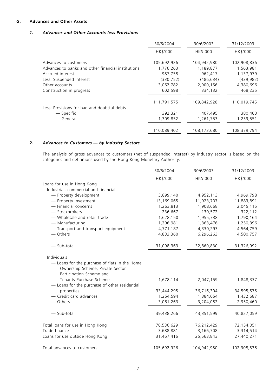## **G. Advances and Other Assets**

## *1. Advances and Other Accounts less Provisions*

|                                                    | 30/6/2004   | 30/6/2003   | 31/12/2003  |
|----------------------------------------------------|-------------|-------------|-------------|
|                                                    | HK\$'000    | HK\$'000    | HK\$'000    |
| Advances to customers                              | 105,692,926 | 104,942,980 | 102,908,836 |
| Advances to banks and other financial institutions | 1,776,263   | 1,189,877   | 1,563,981   |
| Accrued interest                                   | 987,758     | 962,417     | 1,137,979   |
| Less: Suspended interest                           | (330, 752)  | (486, 634)  | (439, 982)  |
| Other accounts                                     | 3,062,782   | 2,900,156   | 4,380,696   |
| Construction in progress                           | 602,598     | 334,132     | 468,235     |
| Less: Provisions for bad and doubtful debts        | 111,791,575 | 109,842,928 | 110,019,745 |
| — Specific                                         | 392,321     | 407,495     | 380,400     |
| — General                                          | 1,309,852   | 1,261,753   | 1,259,551   |
|                                                    | 110,089,402 | 108,173,680 | 108,379,794 |

## *2. Advances to Customers — by Industry Sectors*

The analysis of gross advances to customers (net of suspended interest) by industry sector is based on the categories and definitions used by the Hong Kong Monetary Authority.

|                                                                                                               | 30/6/2004   | 30/6/2003   | 31/12/2003  |
|---------------------------------------------------------------------------------------------------------------|-------------|-------------|-------------|
|                                                                                                               | HK\$'000    | HK\$'000    | HK\$'000    |
| Loans for use in Hong Kong                                                                                    |             |             |             |
| Industrial, commercial and financial                                                                          |             |             |             |
| - Property development                                                                                        | 3,899,140   | 4,952,113   | 4,969,798   |
| - Property investment                                                                                         | 13,169,065  | 11,923,707  | 11,883,891  |
| - Financial concerns                                                                                          | 1,263,813   | 1,908,668   | 2,045,115   |
| - Stockbrokers                                                                                                | 236,667     | 130,572     | 322,112     |
| - Wholesale and retail trade                                                                                  | 1,628,150   | 1,955,738   | 1,790,164   |
| - Manufacturing                                                                                               | 1,296,981   | 1,363,476   | 1,250,396   |
| - Transport and transport equipment                                                                           | 4,771,187   | 4,330,293   | 4,564,759   |
| — Others                                                                                                      | 4,833,360   | 6,296,263   | 4,500,757   |
| - Sub-total                                                                                                   | 31,098,363  | 32,860,830  | 31,326,992  |
| Individuals                                                                                                   |             |             |             |
| - Loans for the purchase of flats in the Home<br>Ownership Scheme, Private Sector<br>Participation Scheme and |             |             |             |
| Tenants Purchase Scheme<br>- Loans for the purchase of other residential                                      | 1,678,114   | 2,047,159   | 1,848,337   |
| properties                                                                                                    | 33,444,295  | 36,716,304  | 34,595,575  |
| - Credit card advances                                                                                        | 1,254,594   | 1,384,054   | 1,432,687   |
| - Others                                                                                                      | 3,061,263   | 3,204,082   | 2,950,460   |
| - Sub-total                                                                                                   | 39,438,266  | 43,351,599  | 40,827,059  |
| Total loans for use in Hong Kong                                                                              | 70,536,629  | 76,212,429  | 72,154,051  |
| Trade finance                                                                                                 | 3,688,881   | 3,166,708   | 3,314,514   |
| Loans for use outside Hong Kong                                                                               | 31,467,416  | 25,563,843  | 27,440,271  |
| Total advances to customers                                                                                   | 105,692,926 | 104,942,980 | 102,908,836 |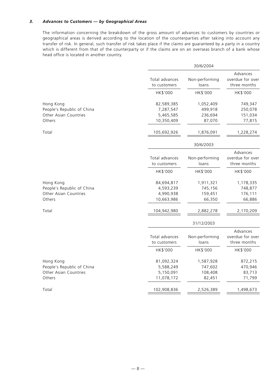## *3. Advances to Customers — by Geographical Areas*

The information concerning the breakdown of the gross amount of advances to customers by countries or geographical areas is derived according to the location of the counterparties after taking into account any transfer of risk. In general, such transfer of risk takes place if the claims are guaranteed by a party in a country which is different from that of the counterparty or if the claims are on an overseas branch of a bank whose head office is located in another country.

|                                                     |                                | 30/6/2004               |                                              |
|-----------------------------------------------------|--------------------------------|-------------------------|----------------------------------------------|
|                                                     | Total advances<br>to customers | Non-performing<br>loans | Advances<br>overdue for over<br>three months |
|                                                     | HK\$'000                       | HK\$'000                | HK\$'000                                     |
| Hong Kong                                           | 82,589,385                     | 1,052,409               | 749,347                                      |
| People's Republic of China                          | 7,287,547                      | 499,918                 | 250,078                                      |
| Other Asian Countries                               | 5,465,585                      | 236,694                 | 151,034                                      |
| Others                                              | 10,350,409                     | 87,070                  | 77,815                                       |
| Total                                               | 105,692,926                    | 1,876,091               | 1,228,274                                    |
|                                                     |                                | 30/6/2003               |                                              |
|                                                     | Total advances<br>to customers | Non-performing<br>loans | Advances<br>overdue for over<br>three months |
|                                                     | HK\$'000                       | HK\$'000                | HK\$'000                                     |
| Hong Kong                                           | 84,694,817                     | 1,911,321               | 1,178,335                                    |
| People's Republic of China<br>Other Asian Countries | 4,593,239<br>4,990,938         | 745,156<br>159,451      | 748,877<br>176,111                           |
| Others                                              | 10,663,986                     | 66,350                  | 66,886                                       |
| Total                                               | 104,942,980                    | 2,882,278               | 2,170,209                                    |
|                                                     |                                | 31/12/2003              |                                              |
|                                                     |                                |                         | Advances                                     |
|                                                     | Total advances                 | Non-performing          | overdue for over                             |
|                                                     | to customers                   | loans                   | three months                                 |
|                                                     | HK\$'000                       | HK\$'000                | HK\$'000                                     |
| Hong Kong                                           | 81,092,324                     | 1,587,928               | 872,215                                      |
| People's Republic of China                          | 5,588,249                      | 747,602                 | 470,946                                      |
| Other Asian Countries                               | 5,150,091                      | 108,408                 | 83,713                                       |
| Others                                              | 11,078,172                     | 82,451                  | 71,799                                       |
| Total                                               | 102,908,836                    | 2,526,389               | 1,498,673                                    |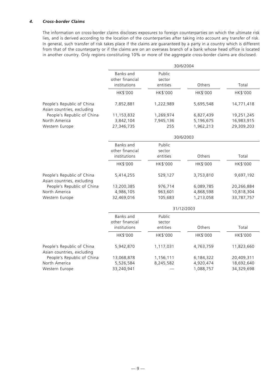## *4. Cross-border Claims*

The information on cross-border claims discloses exposures to foreign counterparties on which the ultimate risk lies, and is derived according to the location of the counterparties after taking into account any transfer of risk. In general, such transfer of risk takes place if the claims are guaranteed by a party in a country which is different from that of the counterparty or if the claims are on an overseas branch of a bank whose head office is located in another country. Only regions constituting 10% or more of the aggregate cross-border claims are disclosed.

|                                                          | 30/6/2004                                    |                              |            |            |
|----------------------------------------------------------|----------------------------------------------|------------------------------|------------|------------|
|                                                          | Banks and<br>other financial<br>institutions | Public<br>sector<br>entities | Others     | Total      |
|                                                          | HK\$'000                                     | HK\$'000                     | HK\$'000   | HK\$'000   |
| People's Republic of China<br>Asian countries, excluding | 7,852,881                                    | 1,222,989                    | 5,695,548  | 14,771,418 |
| People's Republic of China                               | 11,153,832                                   | 1,269,974                    | 6,827,439  | 19,251,245 |
| North America                                            | 3,842,104                                    | 7,945,136                    | 5,196,675  | 16,983,915 |
| Western Europe                                           | 27,346,735                                   | 255                          | 1,962,213  | 29,309,203 |
|                                                          |                                              |                              | 30/6/2003  |            |
|                                                          | Banks and<br>other financial<br>institutions | Public<br>sector<br>entities | Others     | Total      |
|                                                          |                                              |                              |            |            |
|                                                          | HK\$'000                                     | HK\$'000                     | HK\$'000   | HK\$'000   |
| People's Republic of China<br>Asian countries, excluding | 5,414,255                                    | 529,127                      | 3,753,810  | 9,697,192  |
| People's Republic of China                               | 13,200,385                                   | 976,714                      | 6,089,785  | 20,266,884 |
| North America                                            | 4,986,105                                    | 963,601                      | 4,868,598  | 10,818,304 |
| Western Europe                                           | 32,469,016                                   | 105,683                      | 1,213,058  | 33,787,757 |
|                                                          |                                              |                              | 31/12/2003 |            |
|                                                          | <b>Banks</b> and<br>other financial          | Public<br>sector             |            |            |
|                                                          | institutions                                 | entities                     | Others     | Total      |
|                                                          | HK\$'000                                     | HK\$'000                     | HK\$'000   | HK\$'000   |
| People's Republic of China<br>Asian countries, excluding | 5,942,870                                    | 1,117,031                    | 4,763,759  | 11,823,660 |
| People's Republic of China                               | 13,068,878                                   | 1,156,111                    | 6,184,322  | 20,409,311 |
| North America                                            | 5,526,584                                    | 8,245,582                    | 4,920,474  | 18,692,640 |
| Western Europe                                           | 33,240,941                                   |                              | 1,088,757  | 34,329,698 |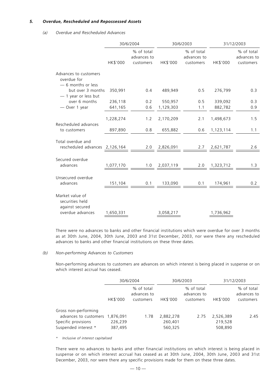## *5. Overdue, Rescheduled and Repossessed Assets*

#### *(a) Overdue and Rescheduled Advances*

|                                                                           | 30/6/2004 |                                        |               | 30/6/2003                                                                                                                                                                                                                                                                                                                  |           | 31/12/2003                             |  |
|---------------------------------------------------------------------------|-----------|----------------------------------------|---------------|----------------------------------------------------------------------------------------------------------------------------------------------------------------------------------------------------------------------------------------------------------------------------------------------------------------------------|-----------|----------------------------------------|--|
|                                                                           | HK\$'000  | % of total<br>advances to<br>customers | HK\$'000      | % of total<br>advances to<br>customers                                                                                                                                                                                                                                                                                     | HK\$'000  | % of total<br>advances to<br>customers |  |
| Advances to customers<br>overdue for<br>- 6 months or less                |           |                                        |               |                                                                                                                                                                                                                                                                                                                            |           |                                        |  |
| but over 3 months<br>$-$ 1 year or less but                               | 350,991   | 0.4                                    | 489,949       | 0.5                                                                                                                                                                                                                                                                                                                        | 276,799   | 0.3                                    |  |
| over 6 months                                                             | 236,118   | 0.2                                    | 550,957       | 0.5                                                                                                                                                                                                                                                                                                                        | 339,092   | 0.3                                    |  |
| - Over 1 year                                                             | 641,165   |                                        | 0.6 1,129,303 | 1.1                                                                                                                                                                                                                                                                                                                        | 882,782   | 0.9                                    |  |
|                                                                           | 1,228,274 | 1.2                                    | 2,170,209     | 2.1                                                                                                                                                                                                                                                                                                                        | 1,498,673 | 1.5                                    |  |
| Rescheduled advances                                                      |           |                                        |               |                                                                                                                                                                                                                                                                                                                            |           |                                        |  |
| to customers                                                              | 897,890   | 0.8                                    | 655,882       | 0.6                                                                                                                                                                                                                                                                                                                        | 1,123,114 | 1.1                                    |  |
| Total overdue and                                                         |           |                                        |               |                                                                                                                                                                                                                                                                                                                            |           |                                        |  |
| rescheduled advances 2,126,164 2.0 2,826,091 2.7 2,621,787                |           |                                        |               |                                                                                                                                                                                                                                                                                                                            |           | 2.6                                    |  |
|                                                                           |           |                                        |               |                                                                                                                                                                                                                                                                                                                            |           |                                        |  |
| Secured overdue                                                           |           |                                        |               |                                                                                                                                                                                                                                                                                                                            |           |                                        |  |
| advances                                                                  |           |                                        |               | $\frac{1,077,170}{2}$ 1.0 2,037,119 2.0 1,323,712                                                                                                                                                                                                                                                                          |           | 1.3                                    |  |
| Unsecured overdue                                                         |           |                                        |               |                                                                                                                                                                                                                                                                                                                            |           |                                        |  |
| advances                                                                  |           |                                        |               | $\frac{151,104}{ } \underline{\hspace{1.5cm} 0.1 \hspace{1.5cm} 0.1 \hspace{1.5cm} 133,090 \hspace{1.5cm} 0.1 \hspace{1.5cm} 0.1 \hspace{1.5cm} 174,961 \hspace{1.5cm} 1133,048 \hspace{1.5cm} 1133,048 \hspace{1.5cm} 1133,048 \hspace{1.5cm} 1133,048 \hspace{1.5cm} 1133,048 \hspace{1.5cm} 1133,048 \hspace{1.5cm} 11$ |           | 0.2                                    |  |
| Market value of<br>securities held<br>against secured<br>overdue advances |           |                                        |               |                                                                                                                                                                                                                                                                                                                            |           |                                        |  |
|                                                                           | 1,650,331 |                                        | 3,058,217     |                                                                                                                                                                                                                                                                                                                            | 1,736,962 |                                        |  |

There were no advances to banks and other financial institutions which were overdue for over 3 months as at 30th June, 2004, 30th June, 2003 and 31st December, 2003, nor were there any rescheduled advances to banks and other financial institutions on these three dates.

## *(b) Non-performing Advances to Customers*

Non-performing advances to customers are advances on which interest is being placed in suspense or on which interest accrual has ceased.

|                       | 30/6/2004 |                                        | 30/6/2003 |                                        | 31/12/2003 |                                        |
|-----------------------|-----------|----------------------------------------|-----------|----------------------------------------|------------|----------------------------------------|
|                       | HK\$'000  | % of total<br>advances to<br>customers | HK\$'000  | % of total<br>advances to<br>customers | HK\$'000   | % of total<br>advances to<br>customers |
| Gross non-performing  |           |                                        |           |                                        |            |                                        |
| advances to customers | 1.876.091 | 1.78                                   | 2,882,278 | 2.75                                   | 2,526,389  | 2.45                                   |
| Specific provisions   | 226,239   |                                        | 260,401   |                                        | 219,528    |                                        |
| Suspended interest *  | 387,495   |                                        | 560,325   |                                        | 508,890    |                                        |

*\* Inclusive of interest capitalised*

There were no advances to banks and other financial institutions on which interest is being placed in suspense or on which interest accrual has ceased as at 30th June, 2004, 30th June, 2003 and 31st December, 2003, nor were there any specific provisions made for them on these three dates.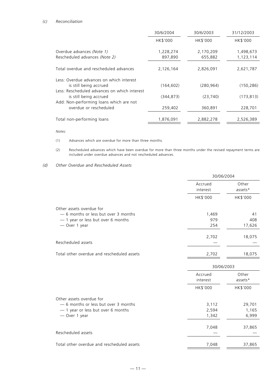## *(c) Reconciliation*

|                                                                        | 30/6/2004 | 30/6/2003  | 31/12/2003 |
|------------------------------------------------------------------------|-----------|------------|------------|
|                                                                        | HK\$'000  | HK\$'000   | HK\$'000   |
| Overdue advances (Note 1)                                              | 1,228,274 | 2,170,209  | 1,498,673  |
| Rescheduled advances (Note 2)                                          | 897,890   | 655,882    | 1,123,114  |
| Total overdue and rescheduled advances                                 | 2,126,164 | 2,826,091  | 2,621,787  |
| Less: Overdue advances on which interest                               |           |            |            |
| is still being accrued                                                 | (164.602) | (280, 964) | (150, 286) |
| Less: Rescheduled advances on which interest<br>is still being accrued | (344.873) | (23, 740)  | (173, 813) |
| Add: Non-performing loans which are not                                |           |            |            |
| overdue or rescheduled                                                 | 259,402   | 360,891    | 228,701    |
| Total non-performing loans                                             | 1,876,091 | 2,882,278  | 2,526,389  |

*Notes:*

- (1) Advances which are overdue for more than three months.
- (2) Rescheduled advances which have been overdue for more than three months under the revised repayment terms are included under overdue advances and not rescheduled advances.

*<sup>(</sup>d) Other Overdue and Rescheduled Assets*

| Other<br>assets*<br>HK\$'000 |  |
|------------------------------|--|
|                              |  |
|                              |  |
|                              |  |
| 41                           |  |
| 408                          |  |
| 17,626                       |  |
| 18,075                       |  |
|                              |  |
| 18,075                       |  |
| 30/06/2003                   |  |
| Other                        |  |
| assets*                      |  |
| HK\$'000                     |  |
|                              |  |
| 29,701                       |  |
| 1,165                        |  |
| 6,999                        |  |
| 37,865                       |  |
|                              |  |
| 37,865                       |  |
|                              |  |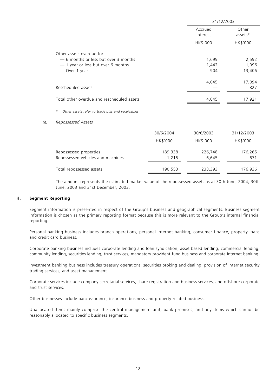|                                            | 31/12/2003          |                  |  |
|--------------------------------------------|---------------------|------------------|--|
|                                            | Accrued<br>interest | Other<br>assets* |  |
|                                            | HK\$'000            | HK\$'000         |  |
| Other assets overdue for                   |                     |                  |  |
| -6 months or less but over 3 months        | 1,699               | 2,592            |  |
| - 1 year or less but over 6 months         | 1,442               | 1,096            |  |
| - Over 1 year                              | 904                 | 13,406           |  |
|                                            | 4,045               | 17,094           |  |
| Rescheduled assets                         |                     | 827              |  |
| Total other overdue and rescheduled assets | 4,045               | 17,921           |  |
|                                            |                     |                  |  |

*\* Other assets refer to trade bills and receivables.*

#### *(e) Repossessed Assets*

|                                                             | 30/6/2004        | 30/6/2003        | 31/12/2003     |
|-------------------------------------------------------------|------------------|------------------|----------------|
|                                                             | HK\$'000         | HK\$'000         | HK\$'000       |
| Repossessed properties<br>Repossessed vehicles and machines | 189,338<br>1.215 | 226,748<br>6,645 | 176,265<br>671 |
| Total repossessed assets                                    | 190,553          | 233,393          | 176,936        |

The amount represents the estimated market value of the repossessed assets as at 30th June, 2004, 30th June, 2003 and 31st December, 2003.

## **H. Segment Reporting**

Segment information is presented in respect of the Group's business and geographical segments. Business segment information is chosen as the primary reporting format because this is more relevant to the Group's internal financial reporting.

Personal banking business includes branch operations, personal Internet banking, consumer finance, property loans and credit card business.

Corporate banking business includes corporate lending and loan syndication, asset based lending, commercial lending, community lending, securities lending, trust services, mandatory provident fund business and corporate Internet banking.

Investment banking business includes treasury operations, securities broking and dealing, provision of Internet security trading services, and asset management.

Corporate services include company secretarial services, share registration and business services, and offshore corporate and trust services.

Other businesses include bancassurance, insurance business and property-related business.

Unallocated items mainly comprise the central management unit, bank premises, and any items which cannot be reasonably allocated to specific business segments.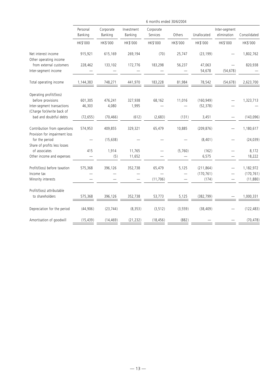|                                                                            | 6 months ended 30/6/2004 |                      |                       |                       |          |                                   |                              |                                      |
|----------------------------------------------------------------------------|--------------------------|----------------------|-----------------------|-----------------------|----------|-----------------------------------|------------------------------|--------------------------------------|
|                                                                            | Personal<br>Banking      | Corporate<br>Banking | Investment<br>Banking | Corporate<br>Services | Others   | Unallocated                       | Inter-segment<br>elimination | Consolidated                         |
|                                                                            | HK\$'000                 | HK\$'000             | HK\$'000              | HK\$'000              | HK\$'000 | HK\$'000                          | HK\$'000                     | HK\$'000                             |
| Net interest income<br>Other operating income                              | 915,921                  | 615,169              | 269,194               | (70)                  | 25,747   | (23, 199)                         |                              | 1,802,762                            |
| from external customers<br>Inter-segment income                            | 228,462                  | 133,102              | 172,776               | 183,298               | 56,237   | 47,063<br>54,678                  | (54, 678)                    | 820,938                              |
| Total operating income                                                     | 1,144,383                | 748,271              | 441,970               | 183,228               | 81,984   | 78,542                            | (54, 678)                    | 2,623,700                            |
| Operating profit/(loss)<br>before provisions<br>Inter-segment transactions | 601,305<br>46,303        | 476,241<br>4,080     | 327,938<br>1,995      | 68,162                | 11,016   | (160, 949)<br>(52, 378)           |                              | 1,323,713                            |
| (Charge for)/write back of<br>bad and doubtful debts                       | (72, 655)                | (70, 466)            | (612)                 | (2,683)               | (131)    | 3,451                             |                              | (143,096)                            |
| Contribution from operations<br>Provision for impairment loss              | 574,953                  | 409,855              | 329,321               | 65,479                | 10,885   | (209, 876)                        |                              | 1,180,617                            |
| for the period<br>Share of profits less losses                             |                          | (15, 638)            |                       |                       |          | (8,401)                           |                              | (24, 039)                            |
| of associates<br>Other income and expenses                                 | 415                      | 1,914<br>(5)         | 11,765<br>11,652      |                       | (5,760)  | (162)<br>6,575                    |                              | 8,172<br>18,222                      |
| Profit/(loss) before taxation<br>Income tax<br>Minority interests          | 575,368                  | 396,126              | 352,738               | 65,479<br>(11, 706)   | 5,125    | (211, 864)<br>(170, 761)<br>(174) |                              | 1,182,972<br>(170, 761)<br>(11, 880) |
| Profit/(loss) attributable<br>to shareholders                              | 575,368                  | 396,126              | 352.738               | 53,773                | 5,125    | (382.799)                         |                              | 1,000,331                            |
| Depreciation for the period                                                | (44, 906)                | (23, 744)            | (8, 353)              | (3, 512)              | (3, 559) | (38, 409)                         |                              | (122, 483)                           |
| Amortisation of goodwill                                                   | (15, 439)                | (14, 469)            | (21, 232)             | (18, 456)             | (882)    |                                   |                              | (70, 478)                            |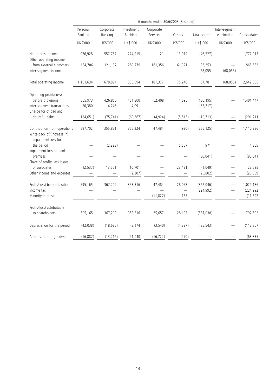|                                                                                                     | 6 months ended 30/6/2003 (Restated) |                      |                       |                       |                             |                          |                              |                         |
|-----------------------------------------------------------------------------------------------------|-------------------------------------|----------------------|-----------------------|-----------------------|-----------------------------|--------------------------|------------------------------|-------------------------|
|                                                                                                     | Personal<br>Banking                 | Corporate<br>Banking | Investment<br>Banking | Corporate<br>Services | Others                      | Unallocated              | Inter-segment<br>elimination | Consolidated            |
|                                                                                                     | HK\$'000                            | HK\$'000             | HK\$'000              | HK\$'000              | HK\$'000                    | HK\$'000                 | HK\$'000                     | HK\$'000                |
| Net interest income<br>Other operating income                                                       | 976,928                             | 557,757              | 274,915               | 21                    | 13,919                      | (46, 527)                |                              | 1,777,013               |
| from external customers<br>Inter-segment income                                                     | 184,706                             | 121,137              | 280,779               | 181,356               | 61,321                      | 36,253<br>68,055         | (68, 055)                    | 865,552                 |
| Total operating income                                                                              | 1,161,634                           | 678,894              | 555,694               | 181,377               | 75,240                      | 57,781                   | (68, 055)                    | 2,642,565               |
| Operating profit/(loss)<br>before provisions<br>Inter-segment transactions<br>Charge for of bad and | 665,973<br>56,380                   | 426,866<br>4,746     | 431,800<br>4,091      | 52,408                | 4,595                       | (180, 195)<br>(65, 217)  |                              | 1,401,447               |
| doubtful debts                                                                                      | (124, 651)                          | (75, 741)            | (69, 667)             | (4,924)               | (5, 515)                    | (10, 713)                |                              | (291, 211)              |
| Contribution from operations<br>Write-back of/(increase in)                                         | 597,702                             | 355,871              | 366,224               | 47,484                | (920)                       | (256, 125)               |                              | 1,110,236               |
| impairment loss for<br>the period<br>Impairment loss on bank                                        |                                     | (2, 223)             |                       |                       | 5,557                       | 971                      |                              | 4,305                   |
| premises<br>Share of profits less losses                                                            |                                     |                      |                       |                       |                             | (80, 041)                |                              | (80, 041)               |
| of associates<br>Other income and expenses                                                          | (2, 537)                            | 13,561               | (10, 701)<br>(2, 207) |                       | 23,421                      | (1,049)<br>(25, 802)     |                              | 22,695<br>(28,009)      |
| Profit/(loss) before taxation<br>Income tax                                                         | 595,165                             | 367,209              | 353,316               | 47,484                | 28,058<br>$\qquad \qquad -$ | (362, 046)<br>(224, 992) |                              | 1,029,186<br>(224, 992) |
| Minority interests                                                                                  |                                     |                      |                       | (11, 827)             | 135                         |                          |                              | (11, 692)               |
| Profit/(loss) attributable<br>to shareholders                                                       | 595,165                             | 367,209              | 353,316               | 35,657                | 28,193                      | (587, 038)               |                              | 792,502                 |
| Depreciation for the period                                                                         | (42, 038)                           | (18, 685)            | (8, 174)              | (3, 540)              | (4, 327)                    | (35, 543)                |                              | (112, 307)              |
| Amortisation of goodwill                                                                            | (16, 887)                           | (13, 216)            | (21,040)              | (16, 722)             | (470)                       |                          |                              | (68, 335)               |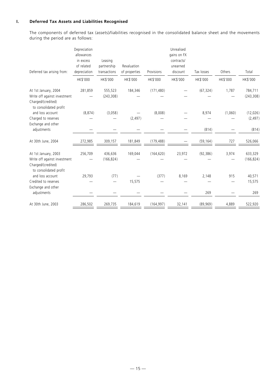## **I. Deferred Tax Assets and Liabilities Recognised**

The components of deferred tax (assets)/liabilities recognised in the consolidated balance sheet and the movements during the period are as follows:

|                                                                                                      | Depreciation<br>allowances<br>in excess | Leasing                     |                              |            | Unrealised<br>gains on FX<br>contracts/ |            |          |                       |
|------------------------------------------------------------------------------------------------------|-----------------------------------------|-----------------------------|------------------------------|------------|-----------------------------------------|------------|----------|-----------------------|
| Deferred tax arising from:                                                                           | of related<br>depreciation              | partnership<br>transactions | Revaluation<br>of properties | Provisions | unearned<br>discount                    | Tax losses | Others   | Total                 |
|                                                                                                      | HK\$'000                                | HK\$'000                    | HK\$'000                     | HK\$'000   | HK\$'000                                | HK\$'000   | HK\$'000 | HK\$'000              |
| At 1st January, 2004<br>Write off against investment<br>Charged/(credited)<br>to consolidated profit | 281,859                                 | 555,523<br>(243, 308)       | 184,346                      | (171, 480) |                                         | (67, 324)  | 1,787    | 784,711<br>(243, 308) |
| and loss account                                                                                     | (8, 874)                                | (3,058)                     |                              | (8,008)    |                                         | 8,974      | (1,060)  | (12,026)              |
| Charged to reserves                                                                                  |                                         |                             | (2, 497)                     |            |                                         |            |          | (2, 497)              |
| Exchange and other<br>adjustments                                                                    |                                         |                             |                              |            |                                         | (814)      |          | (814)                 |
| At 30th June, 2004                                                                                   | 272,985                                 | 309,157                     | 181,849                      | (179, 488) |                                         | (59, 164)  | 727      | 526,066               |
| At 1st January, 2003<br>Write off against investment<br>Charged/(credited)<br>to consolidated profit | 256,709                                 | 436,636<br>(166, 824)       | 169,044                      | (164, 620) | 23,972                                  | (92, 386)  | 3,974    | 633,329<br>(166, 824) |
| and loss account                                                                                     | 29,793                                  | (77)                        |                              | (377)      | 8,169                                   | 2,148      | 915      | 40,571                |
| Credited to reserves<br>Exchange and other                                                           |                                         |                             | 15,575                       |            |                                         |            |          | 15,575                |
| adjustments                                                                                          |                                         |                             |                              |            |                                         | 269        |          | 269                   |
| At 30th June, 2003                                                                                   | 286,502                                 | 269,735                     | 184,619                      | (164, 997) | 32,141                                  | (89, 969)  | 4,889    | 522,920               |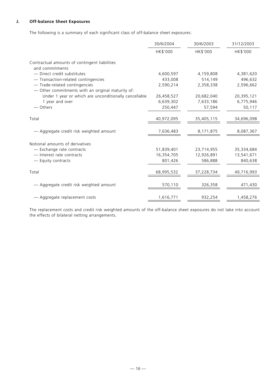## **J. Off-balance Sheet Exposures**

The following is a summary of each significant class of off-balance sheet exposures:

|                                                                                    | 30/6/2004  | 30/6/2003  | 31/12/2003 |
|------------------------------------------------------------------------------------|------------|------------|------------|
|                                                                                    | HK\$'000   | HK\$'000   | HK\$'000   |
| Contractual amounts of contingent liabilities<br>and commitments                   |            |            |            |
| - Direct credit substitutes                                                        | 4,600,597  | 4,159,808  | 4,381,620  |
| - Transaction-related contingencies                                                | 433,008    | 514,149    | 496,632    |
| - Trade-related contingencies<br>- Other commitments with an original maturity of: | 2,590,214  | 2,358,338  | 2,596,662  |
| Under 1 year or which are unconditionally cancellable                              | 26,458,527 | 20,682,040 | 20,395,121 |
| 1 year and over                                                                    | 6,639,302  | 7,633,186  | 6,775,946  |
| - Others                                                                           | 250,447    | 57,594     | 50,117     |
| Total                                                                              | 40,972,095 | 35,405,115 | 34,696,098 |
| — Aggregate credit risk weighted amount                                            | 7,636,483  | 8,171,875  | 8,087,367  |
| Notional amounts of derivatives                                                    |            |            |            |
| - Exchange rate contracts                                                          | 51,839,401 | 23,714,955 | 35,334,684 |
| - Interest rate contracts                                                          | 16,354,705 | 12,926,891 | 13,541,671 |
| - Equity contracts                                                                 | 801,426    | 586,888    | 840,638    |
| Total                                                                              | 68,995,532 | 37,228,734 | 49,716,993 |
| - Aggregate credit risk weighted amount                                            | 570,110    | 326,358    | 471,430    |
| - Aggregate replacement costs                                                      | 1,616,771  | 932,254    | 1,458,276  |

The replacement costs and credit risk weighted amounts of the off-balance sheet exposures do not take into account the effects of bilateral netting arrangements.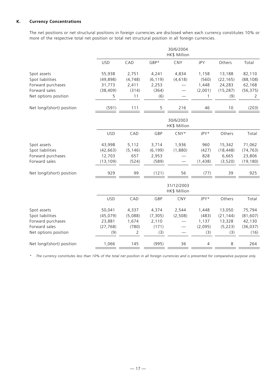## **K. Currency Concentrations**

The net positions or net structural positions in foreign currencies are disclosed when each currency constitutes 10% or more of the respective total net position or total net structural position in all foreign currencies.

|                                 | 30/6/2004<br>HK\$ Million |                   |                   |                            |                |                     |                     |
|---------------------------------|---------------------------|-------------------|-------------------|----------------------------|----------------|---------------------|---------------------|
|                                 | <b>USD</b>                | CAD               | GBP*              | CNY                        | <b>JPY</b>     | Others              | Total               |
| Spot assets<br>Spot liabilities | 55,938<br>(49, 898)       | 2,751<br>(4, 748) | 4,241<br>(6, 119) | 4,834<br>(4, 618)          | 1,158<br>(560) | 13,188<br>(22, 165) | 82,110<br>(88, 108) |
| Forward purchases               |                           |                   |                   |                            |                |                     | 62,168              |
| Forward sales                   | 31,773                    | 2,411<br>(314)    | 2,253<br>(364)    |                            | 1,448          | 24,283              |                     |
|                                 | (38, 409)                 |                   |                   |                            | (2,001)        | (15, 287)           | (56, 375)           |
| Net options position            | 5                         | 11                | (6)               |                            | $\mathbf{1}$   | (9)                 | 2                   |
| Net long/(short) position       | (591)                     | 111               | 5                 | 216                        | 46             | 10                  | (203)               |
|                                 |                           |                   |                   | 30/6/2003<br>HK\$ Million  |                |                     |                     |
|                                 | <b>USD</b>                | CAD               | GBP               | $CNY*$                     | JPY*           | Others              | Total               |
| Spot assets                     | 43,998                    | 5,112             | 3,714             | 1,936                      | 960            | 15,342              | 71,062              |
| Spot liabilities                | (42, 663)                 | (5, 146)          | (6, 199)          | (1,880)                    | (427)          | (18, 448)           | (74, 763)           |
| Forward purchases               | 12,703                    | 657               | 2,953             |                            | 828            | 6,665               | 23,806              |
| Forward sales                   | (13, 109)                 | (524)             | (589)             |                            | (1,438)        | (3,520)             | (19, 180)           |
| Net long/(short) position       | 929                       | 99                | (121)             | 56                         | (77)           | 39                  | 925                 |
|                                 |                           |                   |                   | 31/12/2003<br>HK\$ Million |                |                     |                     |
|                                 | <b>USD</b>                | CAD               | GBP               | <b>CNY</b>                 | JPY*           | Others              | Total               |
| Spot assets                     | 50,041                    | 4,337             | 4,374             | 2,544                      | 1,448          | 13,050              | 75,794              |
| Spot liabilities                | (45, 079)                 | (5,088)           | (7, 305)          | (2,508)                    | (483)          | (21, 144)           | (81, 607)           |
| Forward purchases               | 23,881                    | 1,674             | 2,110             |                            | 1,137          | 13,328              | 42,130              |
| Forward sales                   | (27, 768)                 | (780)             | (171)             |                            | (2,095)        | (5, 223)            | (36, 037)           |
| Net options position            | (9)                       | 2                 | (3)               |                            | (3)            | (3)                 | (16)                |
| Net long/(short) position       | 1,066                     | 145               | (995)             | 36                         | 4              | 8                   | 264                 |

*\* The currency constitutes less than 10% of the total net position in all foreign currencies and is presented for comparative purpose only.*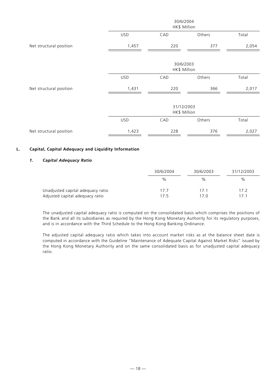|                         | 30/6/2004<br>HK\$ Million |                            |        |       |  |  |
|-------------------------|---------------------------|----------------------------|--------|-------|--|--|
|                         | <b>USD</b>                | CAD                        | Others | Total |  |  |
| Net structural position | 1,457                     | 220                        | 377    | 2,054 |  |  |
|                         |                           | 30/6/2003<br>HK\$ Million  |        |       |  |  |
|                         | <b>USD</b>                | CAD                        | Others | Total |  |  |
| Net structural position | 1,431                     | 220                        | 366    | 2,017 |  |  |
|                         |                           | 31/12/2003<br>HK\$ Million |        |       |  |  |
|                         | <b>USD</b>                | CAD                        | Others | Total |  |  |
| Net structural position | 1,423                     | 228                        | 376    | 2,027 |  |  |

## **L. Capital, Capital Adequacy and Liquidity Information**

## *1. Capital Adequacy Ratio*

|                                   | 30/6/2004 | 30/6/2003 | 31/12/2003 |
|-----------------------------------|-----------|-----------|------------|
|                                   | %         | $\%$      | %          |
| Unadjusted capital adequacy ratio | 177       | 171       | 17.2       |
| Adjusted capital adequacy ratio   | 175       | 17.0      | 17.1       |

The unadjusted capital adequacy ratio is computed on the consolidated basis which comprises the positions of the Bank and all its subsidiaries as required by the Hong Kong Monetary Authority for its regulatory purposes, and is in accordance with the Third Schedule to the Hong Kong Banking Ordinance.

The adjusted capital adequacy ratio which takes into account market risks as at the balance sheet date is computed in accordance with the Guideline "Maintenance of Adequate Capital Against Market Risks" issued by the Hong Kong Monetary Authority and on the same consolidated basis as for unadjusted capital adequacy ratio.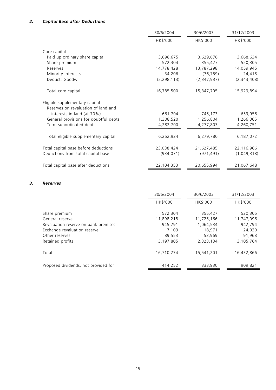|                                       | 30/6/2004     | 30/6/2003   | 31/12/2003  |
|---------------------------------------|---------------|-------------|-------------|
|                                       | HK\$'000      | HK\$'000    | HK\$'000    |
| Core capital                          |               |             |             |
| Paid up ordinary share capital        | 3,698,675     | 3,629,676   | 3,668,634   |
| Share premium                         | 572,304       | 355,427     | 520,305     |
| Reserves                              | 14,778,428    | 13,787,298  | 14,059,945  |
| Minority interests                    | 34,206        | (76, 759)   | 24,418      |
| Deduct: Goodwill                      | (2, 298, 113) | (2,347,937) | (2,343,408) |
| Total core capital                    | 16,785,500    | 15,347,705  | 15,929,894  |
| Eligible supplementary capital        |               |             |             |
| Reserves on revaluation of land and   |               |             |             |
| interests in land (at 70%)            | 661,704       | 745,173     | 659,956     |
| General provisions for doubtful debts | 1,308,520     | 1,256,804   | 1,266,365   |
| Term subordinated debt                | 4,282,700     | 4,277,803   | 4,260,751   |
| Total eligible supplementary capital  | 6,252,924     | 6,279,780   | 6,187,072   |
| Total capital base before deductions  | 23,038,424    | 21,627,485  | 22,116,966  |
| Deductions from total capital base    | (934, 071)    | (971, 491)  | (1,049,318) |
| Total capital base after deductions   | 22,104,353    | 20,655,994  | 21,067,648  |
|                                       |               |             |             |

## *3. Reserves*

|                                      | 30/6/2004  | 30/6/2003  | 31/12/2003 |
|--------------------------------------|------------|------------|------------|
|                                      | HK\$'000   | HK\$'000   | HK\$'000   |
| Share premium                        | 572,304    | 355,427    | 520,305    |
| General reserve                      | 11,898,218 | 11,725,166 | 11,747,096 |
| Revaluation reserve on bank premises | 945,291    | 1,064,534  | 942,794    |
| Exchange revaluation reserve         | 7.103      | 18.971     | 24.939     |
| Other reserves                       | 89.553     | 53,969     | 91,968     |
| Retained profits                     | 3,197,805  | 2,323,134  | 3,105,764  |
| Total                                | 16,710,274 | 15,541,201 | 16,432,866 |
| Proposed dividends, not provided for | 414,252    | 333,930    | 909,821    |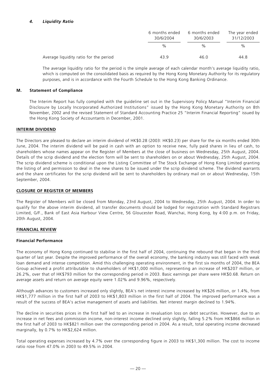## *4. Liquidity Ratio*

|                                        | 6 months ended<br>30/6/2004 | 6 months ended<br>30/6/2003 | The year ended<br>31/12/2003 |  |
|----------------------------------------|-----------------------------|-----------------------------|------------------------------|--|
|                                        | $\%$                        | %                           | %                            |  |
| Average liquidity ratio for the period | 43.9                        | 46.0                        | 44.8                         |  |

The average liquidity ratio for the period is the simple average of each calendar month's average liquidity ratio, which is computed on the consolidated basis as required by the Hong Kong Monetary Authority for its regulatory purposes, and is in accordance with the Fourth Schedule to the Hong Kong Banking Ordinance.

#### **M. Statement of Compliance**

The Interim Report has fully complied with the guideline set out in the Supervisory Policy Manual "Interim Financial Disclosure by Locally Incorporated Authorized Institutions" issued by the Hong Kong Monetary Authority on 8th November, 2002 and the revised Statement of Standard Accounting Practice 25 "Interim Financial Reporting" issued by the Hong Kong Society of Accountants in December, 2001.

#### **INTERIM DIVIDEND**

The Directors are pleased to declare an interim dividend of HK\$0.28 (2003: HK\$0.23) per share for the six months ended 30th June, 2004. The interim dividend will be paid in cash with an option to receive new, fully paid shares in lieu of cash, to shareholders whose names appear on the Register of Members at the close of business on Wednesday, 25th August, 2004. Details of the scrip dividend and the election form will be sent to shareholders on or about Wednesday, 25th August, 2004. The scrip dividend scheme is conditional upon the Listing Committee of The Stock Exchange of Hong Kong Limited granting the listing of and permission to deal in the new shares to be issued under the scrip dividend scheme. The dividend warrants and the share certificates for the scrip dividend will be sent to shareholders by ordinary mail on or about Wednesday, 15th September, 2004.

## **CLOSURE OF REGISTER OF MEMBERS**

The Register of Members will be closed from Monday, 23rd August, 2004 to Wednesday, 25th August, 2004. In order to qualify for the above interim dividend, all transfer documents should be lodged for registration with Standard Registrars Limited, G/F., Bank of East Asia Harbour View Centre, 56 Gloucester Road, Wanchai, Hong Kong, by 4:00 p.m. on Friday, 20th August, 2004.

## **FINANCIAL REVIEW**

#### **Financial Performance**

The economy of Hong Kong continued to stabilise in the first half of 2004, continuing the rebound that began in the third quarter of last year. Despite the improved performance of the overall economy, the banking industry was still faced with weak loan demand and intense competition. Amid this challenging operating environment, in the first six months of 2004, the BEA Group achieved a profit attributable to shareholders of HK\$1,000 million, representing an increase of HK\$207 million, or 26.2%, over that of HK\$793 million for the corresponding period in 2003. Basic earnings per share were HK\$0.68. Return on average assets and return on average equity were 1.02% and 9.96%, respectively.

Although advances to customers increased only slightly, BEA's net interest income increased by HK\$26 million, or 1.4%, from HK\$1,777 million in the first half of 2003 to HK\$1,803 million in the first half of 2004. The improved performance was a result of the success of BEA's active management of assets and liabilities. Net interest margin declined to 1.94%.

The decline in securities prices in the first half led to an increase in revaluation loss on debt securities. However, due to an increase in net fees and commission income, non-interest income declined only slightly, falling 5.2% from HK\$866 million in the first half of 2003 to HK\$821 million over the corresponding period in 2004. As a result, total operating income decreased marginally, by 0.7% to HK\$2,624 million.

Total operating expenses increased by 4.7% over the corresponding figure in 2003 to HK\$1,300 million. The cost to income ratio rose from 47.0% in 2003 to 49.5% in 2004.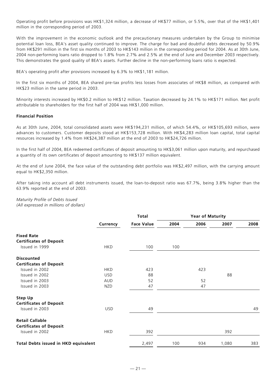Operating profit before provisions was HK\$1,324 million, a decrease of HK\$77 million, or 5.5%, over that of the HK\$1,401 million in the corresponding period of 2003.

With the improvement in the economic outlook and the precautionary measures undertaken by the Group to minimise potential loan loss, BEA's asset quality continued to improve. The charge for bad and doubtful debts decreased by 50.9% from HK\$291 million in the first six months of 2003 to HK\$143 million in the corresponding period for 2004. As at 30th June, 2004 non-performing loans ratio dropped to 1.8% from 2.7% and 2.5% at the end of June and December 2003 respectively. This demonstrates the good quality of BEA's assets. Further decline in the non-performing loans ratio is expected.

BEA's operating profit after provisions increased by 6.3% to HK\$1,181 million.

In the first six months of 2004, BEA shared pre-tax profits less losses from associates of HK\$8 million, as compared with HK\$23 million in the same period in 2003.

Minority interests increased by HK\$0.2 million to HK\$12 million. Taxation decreased by 24.1% to HK\$171 million. Net profit attributable to shareholders for the first half of 2004 was HK\$1,000 million.

#### **Financial Position**

As at 30th June, 2004, total consolidated assets were HK\$194,231 million, of which 54.4%, or HK\$105,693 million, were advances to customers. Customer deposits stood at HK\$153,728 million. With HK\$4,283 million loan capital, total capital resources increased by 1.4% from HK\$24,387 million at the end of 2003 to HK\$24,726 million.

In the first half of 2004, BEA redeemed certificates of deposit amounting to HK\$3,061 million upon maturity, and repurchased a quantity of its own certificates of deposit amounting to HK\$137 million equivalent.

At the end of June 2004, the face value of the outstanding debt portfolio was HK\$2,497 million, with the carrying amount equal to HK\$2,350 million.

After taking into account all debt instruments issued, the loan-to-deposit ratio was 67.7%, being 3.8% higher than the 63.9% reported at the end of 2003.

*Maturity Profile of Debts Issued (All expressed in millions of dollars)*

|                                             |            | Total             |      | <b>Year of Maturity</b> |       |      |
|---------------------------------------------|------------|-------------------|------|-------------------------|-------|------|
|                                             | Currency   | <b>Face Value</b> | 2004 | 2006                    | 2007  | 2008 |
| <b>Fixed Rate</b>                           |            |                   |      |                         |       |      |
| <b>Certificates of Deposit</b>              |            |                   |      |                         |       |      |
| Issued in 1999                              | <b>HKD</b> | 100               | 100  |                         |       |      |
| <b>Discounted</b>                           |            |                   |      |                         |       |      |
| <b>Certificates of Deposit</b>              |            |                   |      |                         |       |      |
| Issued in 2002                              | <b>HKD</b> | 423               |      | 423                     |       |      |
| Issued in 2002                              | <b>USD</b> | 88                |      |                         | 88    |      |
| Issued in 2003                              | <b>AUD</b> | 52                |      | 52                      |       |      |
| Issued in 2003                              | <b>NZD</b> | 47                |      | 47                      |       |      |
| <b>Step Up</b>                              |            |                   |      |                         |       |      |
| <b>Certificates of Deposit</b>              |            |                   |      |                         |       |      |
| Issued in 2003                              | USD.       | 49                |      |                         |       | 49   |
| <b>Retail Callable</b>                      |            |                   |      |                         |       |      |
| <b>Certificates of Deposit</b>              |            |                   |      |                         |       |      |
| Issued in 2002                              | <b>HKD</b> | 392               |      |                         | 392   |      |
| <b>Total Debts issued in HKD equivalent</b> |            | 2,497             | 100  | 934                     | 1,080 | 383  |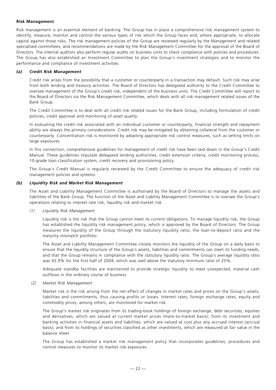#### **Risk Management**

Risk management is an essential element of banking. The Group has in place a comprehensive risk management system to identify, measure, monitor and control the various types of risk which the Group faces and, where appropriate, to allocate capital against those risks. The risk management policies of the Group are reviewed regularly by the Management and related specialised committees, and recommendations are made by the Risk Management Committee for the approval of the Board of Directors. The internal auditors also perform regular audits on business units to check compliance with policies and procedures. The Group has also established an Investment Committee to plan the Group's investment strategies and to monitor the performance and compliance of investment activities.

#### *(a) Credit Risk Management*

Credit risk arises from the possibility that a customer or counterparty in a transaction may default. Such risk may arise from both lending and treasury activities. The Board of Directors has delegated authority to the Credit Committee to oversee management of the Group's credit risk, independent of the business units. The Credit Committee will report to the Board of Directors via the Risk Management Committee, which deals with all risk management related issues of the Bank Group.

The Credit Committee is to deal with all credit risk related issues for the Bank Group, including formulation of credit policies, credit approval and monitoring of asset quality.

In evaluating the credit risk associated with an individual customer or counterparty, financial strength and repayment ability are always the primary considerations. Credit risk may be mitigated by obtaining collateral from the customer or counterparty. Concentration risk is monitored by adopting appropriate risk control measures, such as setting limits on large exposures.

In this connection, comprehensive guidelines for management of credit risk have been laid down in the Group's Credit Manual. These guidelines stipulate delegated lending authorities, credit extension criteria, credit monitoring process, 10-grade loan classification system, credit recovery and provisioning policy.

The Group's Credit Manual is regularly reviewed by the Credit Committee to ensure the adequacy of credit risk management policies and systems.

#### *(b) Liquidity Risk and Market Risk Management*

The Asset and Liability Management Committee is authorised by the Board of Directors to manage the assets and liabilities of the Bank Group. The function of the Asset and Liability Management Committee is to oversee the Group's operations relating to interest rate risk, liquidity risk and market risk.

#### *(1) Liquidity Risk Management*

Liquidity risk is the risk that the Group cannot meet its current obligations. To manage liquidity risk, the Group has established the liquidity risk management policy, which is approved by the Board of Directors. The Group measures the liquidity of the Group through the statutory liquidity ratio, the loan-to-deposit ratio and the maturity mismatch portfolio.

The Asset and Liability Management Committee closely monitors the liquidity of the Group on a daily basis to ensure that the liquidity structure of the Group's assets, liabilities and commitments can meet its funding needs, and that the Group remains in compliance with the statutory liquidity ratio. The Group's average liquidity ratio was 43.9% for the first half of 2004, which was well above the statutory minimum ratio of 25%.

Adequate standby facilities are maintained to provide strategic liquidity to meet unexpected, material cash outflows in the ordinary course of business.

#### *(2) Market Risk Management*

Market risk is the risk arising from the net effect of changes in market rates and prices on the Group's assets, liabilities and commitments, thus causing profits or losses. Interest rates, foreign exchange rates, equity and commodity prices, among others, are monitored for market risk.

The Group's market risk originates from its trading-book holdings of foreign exchange, debt securities, equities and derivatives, which are valued at current market prices (mark-to-market basis); from its investment and banking activities in financial assets and liabilities, which are valued at cost plus any accrued interest (accrual basis); and from its holdings of securities classified as other investments, which are measured at fair value in the balance sheet.

The Group has established a market risk management policy that incorporates guidelines, procedures and control measures to monitor its market risk exposures.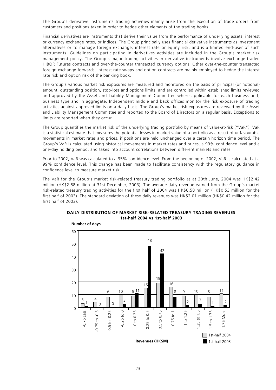The Group's derivative instruments trading activities mainly arise from the execution of trade orders from customers and positions taken in order to hedge other elements of the trading books.

Financial derivatives are instruments that derive their value from the performance of underlying assets, interest or currency exchange rates, or indices. The Group principally uses financial derivative instruments as investment alternatives or to manage foreign exchange, interest rate or equity risk, and is a limited end-user of such instruments. Guidelines on participating in derivatives activities are included in the Group's market risk management policy. The Group's major trading activities in derivative instruments involve exchange-traded HIBOR Futures contracts and over-the-counter transacted currency options. Other over-the-counter transacted foreign exchange forwards, interest rate swaps and option contracts are mainly employed to hedge the interest rate risk and option risk of the banking book.

The Group's various market risk exposures are measured and monitored on the basis of principal (or notional) amount, outstanding position, stop-loss and options limits, and are controlled within established limits reviewed and approved by the Asset and Liability Management Committee where applicable for each business unit, business type and in aggregate. Independent middle and back offices monitor the risk exposure of trading activities against approved limits on a daily basis. The Group's market risk exposures are reviewed by the Asset and Liability Management Committee and reported to the Board of Directors on a regular basis. Exceptions to limits are reported when they occur.

The Group quantifies the market risk of the underlying trading portfolio by means of value-at-risk ("VaR"). VaR is a statistical estimate that measures the potential losses in market value of a portfolio as a result of unfavourable movements in market rates and prices, if positions are held unchanged over a certain horizon time period. The Group's VaR is calculated using historical movements in market rates and prices, a 99% confidence level and a one-day holding period, and takes into account correlations between different markets and rates.

Prior to 2002, VaR was calculated to a 95% confidence level. From the beginning of 2002, VaR is calculated at a 99% confidence level. This change has been made to facilitate consistency with the regulatory guidance in confidence level to measure market risk.

The VaR for the Group's market risk-related treasury trading portfolio as at 30th June, 2004 was HK\$2.42 million (HK\$2.68 million at 31st December, 2003). The average daily revenue earned from the Group's market risk-related treasury trading activities for the first half of 2004 was HK\$0.58 million (HK\$0.53 million for the first half of 2003). The standard deviation of these daily revenues was HK\$2.01 million (HK\$0.42 million for the first half of 2003).



## **DAILY DISTRIBUTION OF MARKET RISK-RELATED TREASURY TRADING REVENUES 1st-half 2004 vs 1st-half 2003**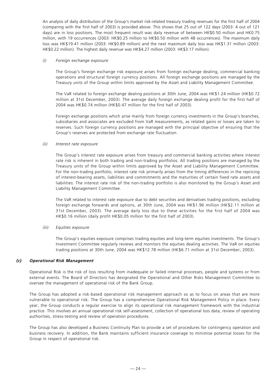An analysis of daily distribution of the Group's market risk-related treasury trading revenues for the first half of 2004 (comparing with the first half of 2003) is provided above. This shows that 25 out of 122 days (2003: 4 out of 121 days) are in loss positions. The most frequent result was daily revenue of between HK\$0.50 million and HK0.75 million, with 19 occurrences (2003: HK\$0.25 million to HK\$0.50 million with 48 occurrences). The maximum daily loss was HK\$19.41 million (2003: HK\$0.89 million) and the next maximum daily loss was HK\$1.31 million (2003: HK\$0.22 million). The highest daily revenue was HK\$4.27 million (2003: HK\$3.17 million).

#### *(i) Foreign exchange exposure*

The Group's foreign exchange risk exposure arises from foreign exchange dealing, commercial banking operations and structural foreign currency positions. All foreign exchange positions are managed by the Treasury units of the Group within limits approved by the Asset and Liability Management Committee.

The VaR related to foreign exchange dealing positions at 30th June, 2004 was HK\$1.24 million (HK\$0.72 million at 31st December, 2003). The average daily foreign exchange dealing profit for the first half of 2004 was HK\$0.74 million (HK\$0.47 million for the first half of 2003).

Foreign exchange positions which arise mainly from foreign currency investments in the Group's branches, subsidiaries and associates are excluded from VaR measurements, as related gains or losses are taken to reserves. Such foreign currency positions are managed with the principal objective of ensuring that the Group's reserves are protected from exchange rate fluctuation.

## *(ii) Interest rate exposure*

The Group's interest rate exposure arises from treasury and commercial banking activities where interest rate risk is inherent in both trading and non-trading portfolios. All trading positions are managed by the Treasury units of the Group within limits approved by the Asset and Liability Management Committee. For the non-trading portfolio, interest rate risk primarily arises from the timing differences in the repricing of interest-bearing assets, liabilities and commitments and the maturities of certain fixed rate assets and liabilities. The interest rate risk of the non-trading portfolio is also monitored by the Group's Asset and Liability Management Committee.

The VaR related to interest rate exposure due to debt securities and derivatives trading positions, excluding foreign exchange forwards and options, at 30th June, 2004 was HK\$1.96 million (HK\$2.11 million at 31st December, 2003). The average daily loss due to these activities for the first half of 2004 was HK\$0.16 million (daily profit HK\$0.05 million for the first half of 2003).

## *(iii) Equities exposure*

The Group's equities exposure comprises trading equities and long-term equities investments. The Group's Investment Committee regularly reviews and monitors the equities dealing activities. The VaR on equities trading positions at 30th June, 2004 was HK\$12.78 million (HK\$6.71 million at 31st December, 2003).

## *(c) Operational Risk Management*

Operational Risk is the risk of loss resulting from inadequate or failed internal processes, people and systems or from external events. The Board of Directors has designated the Operational and Other Risks Management Committee to oversee the management of operational risk of the Bank Group.

The Group has adopted a risk-based operational risk management approach so as to focus on areas that are more vulnerable to operational risk. The Group has a comprehensive Operational Risk Management Policy in place. Every year, the Group conducts a regular exercise to align its operational risk management framework with the industrial practice. This involves an annual operational risk self-assessment, collection of operational loss data, review of operating authorities, stress-testing and review of operation procedures.

The Group has also developed a Business Continuity Plan to provide a set of procedures for contingency operation and business recovery. In addition, the Bank maintains sufficient insurance coverage to minimise potential losses for the Group in respect of operational risk.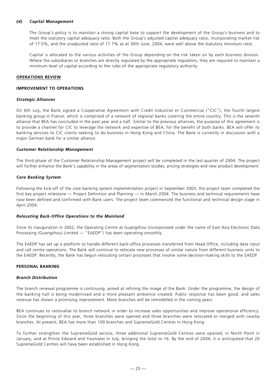## *(d) Capital Management*

The Group's policy is to maintain a strong capital base to support the development of the Group's business and to meet the statutory capital adequacy ratio. Both the Group's adjusted capital adequacy ratio, incorporating market risk of 17.5%, and the unadjusted ratio of 17.7% as at 30th June, 2004, were well above the statutory minimum ratio.

Capital is allocated to the various activities of the Group depending on the risk taken on by each business division. Where the subsidiaries or branches are directly regulated by the appropriate regulators, they are required to maintain a minimum level of capital according to the rules of the appropriate regulatory authority.

#### **OPERATIONS REVIEW**

#### **IMPROVEMENT TO OPERATIONS**

#### *Strategic Alliances*

On 6th July, the Bank signed a Cooperative Agreement with Crédit Industriel et Commercial ("CIC"), the fourth largest banking group in France, which is comprised of a network of regional banks covering the entire country. This is the seventh alliance that BEA has concluded in the past year and a half. Similar to the previous alliances, the purpose of this agreement is to provide a channel for CIC to leverage the network and expertise of BEA, for the benefit of both banks. BEA will offer its banking services to CIC clients seeking to do business in Hong Kong and China. The Bank is currently in discussion with a major German bank for a similar alliance.

#### *Customer Relationship Management*

The third phase of the Customer Relationship Management project will be completed in the last quarter of 2004. The project will further enhance the Bank's capability in the areas of segmentation studies, pricing strategies and new product development.

#### *Core Banking System*

Following the kick-off of the core banking system implementation project in September 2003, the project team completed the first key project milestone — Project Definition and Planning — in March 2004. The business and technical requirements have now been defined and confirmed with Bank users. The project team commenced the functional and technical design stage in April 2004.

#### *Relocating Back-Office Operations to the Mainland*

Since its inauguration in 2002, the Operating Centre at Guangzhou (incorporated under the name of East Asia Electronic Data Processing (Guangzhou) Limited — "EAEDP") has been operating smoothly.

The EAEDP has set up a platform to handle different back-office processes transferred from Head Office, including data input and call centre operations. The Bank will continue to relocate new processes of similar nature from different business units to the EAEDP. Recently, the Bank has begun relocating certain processes that involve some decision-making skills to the EAEDP.

#### **PERSONAL BANKING**

#### *Branch Distribution*

The branch renewal programme is continuing, aimed at refining the image of the Bank. Under the programme, the design of the banking hall is being modernised and a more pleasant ambience created. Public response has been good, and sales revenue has shown a promising improvement. More branches will be remodelled in the coming years.

BEA continues to rationalise its branch network in order to increase sales opportunities and improve operational efficiency. Since the beginning of this year, three branches were opened and three branches were relocated or merged with nearby branches. At present, BEA has more than 100 branches and SupremeGold Centres in Hong Kong.

To further strengthen the SupremeGold service, three additional SupremeGold Centres were opened, in North Point in January, and at Prince Edward and Yaumatei in July, bringing the total to 16. By the end of 2004, it is anticipated that 20 SupremeGold Centres will have been established in Hong Kong.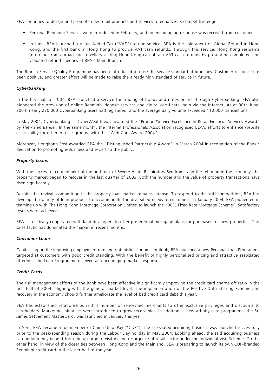BEA continues to design and promote new retail products and services to enhance its competitive edge:

- Personal Renminbi Services were introduced in February, and an encouraging response was received from customers.
- In June, BEA launched a Value Added Tax ("VAT") refund service. BEA is the sole agent of Global Refund in Hong Kong, and the first bank in Hong Kong to provide VAT cash refunds. Through this service, Hong Kong residents returning from abroad and travellers visiting Hong Kong can obtain VAT cash refunds by presenting completed and validated refund cheques at BEA's Main Branch.

The Branch Service Quality Programme has been introduced to raise the service standard at branches. Customer response has been positive, and greater effort will be made to raise the already high standard of service in future.

## *Cyberbanking*

In the first half of 2004, BEA launched a service for trading of bonds and notes online through Cyberbanking. BEA also pioneered the provision of online Renminbi deposit services and digital certificate login via the Internet. As at 30th June, 2004, nearly 270,000 Cyberbanking users had registered, and the average daily volume exceeded 110,000 transactions.

In May 2004, Cyberbanking — CyberWealth was awarded the "Product/Service Excellence in Retail Financial Services Award" by *The Asian Banker*. In the same month, the Internet Professionals Association recognised BEA's efforts to enhance website accessibility for different user groups, with the "Web Care Award 2004".

Moreover, Hongkong Post awarded BEA the "Distinguished Partnership Award" in March 2004 in recognition of the Bank's dedication to promoting e-Business and e-Cert to the public.

## *Property Loans*

With the successful containment of the outbreak of Severe Acute Respiratory Syndrome and the rebound in the economy, the property market began to recover in the last quarter of 2003. Both the number and the value of property transactions have risen significantly.

Despite this revival, competition in the property loan market remains intense. To respond to the stiff competition, BEA has developed a variety of loan products to accommodate the diversified needs of customers. In January 2004, BEA pioneered in teaming up with The Hong Kong Mortgage Corporation Limited to launch the "90% Fixed Rate Mortgage Scheme". Satisfactory results were achieved.

BEA also actively cooperated with land developers to offer preferential mortgage plans for purchasers of new properties. This sales tactic has dominated the market in recent months.

## *Consumer Loans*

Capitalising on the improving employment rate and optimistic economic outlook, BEA launched a new Personal Loan Programme targeted at customers with good credit standing. With the benefit of highly personalised pricing and attractive associated offerings, the Loan Programme received an encouraging market response.

## *Credit Cards*

The risk management efforts of the Bank have been effective in significantly improving the credit card charge off ratio in the first half of 2004, aligning with the general market level. The implementation of the Positive Data Sharing Scheme and recovery in the economy should further ameliorate the level of bad credit card debt this year.

BEA has established relationships with a number of renowned merchants to offer exclusive privileges and discounts to cardholders. Marketing initiatives were introduced to grow receivables. In addition, a new affinity card programme, the St. James Settlement MasterCard, was launched in January this year.

In April, BEA became a full member of China UnionPay ("CUP"). The associated acquiring business was launched successfully prior to the peak-spending season during the Labour Day holiday in May 2004. Looking ahead, the said acquiring business can undoubtedly benefit from the upsurge of visitors and resurgence of retail sector under the Individual Visit Scheme. On the other hand, in view of the closer ties between Hong Kong and the Mainland, BEA is preparing to launch its own CUP-branded Renminbi credit card in the latter half of the year.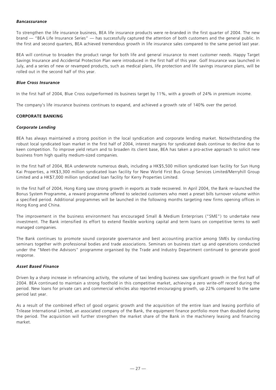## *Bancassurance*

To strengthen the life insurance business, BEA life insurance products were re-branded in the first quarter of 2004. The new brand — "BEA Life Insurance Series" — has successfully captured the attention of both customers and the general public. In the first and second quarters, BEA achieved tremendous growth in life insurance sales compared to the same period last year.

BEA will continue to broaden the product range for both life and general insurance to meet customer needs. Happy Target Savings Insurance and Accidental Protection Plan were introduced in the first half of this year. Golf Insurance was launched in July, and a series of new or revamped products, such as medical plans, life protection and life savings insurance plans, will be rolled out in the second half of this year.

## *Blue Cross Insurance*

In the first half of 2004, Blue Cross outperformed its business target by 11%, with a growth of 24% in premium income.

The company's life insurance business continues to expand, and achieved a growth rate of 140% over the period.

## **CORPORATE BANKING**

## *Corporate Lending*

BEA has always maintained a strong position in the local syndication and corporate lending market. Notwithstanding the robust local syndicated loan market in the first half of 2004, interest margins for syndicated deals continue to decline due to keen competition. To improve yield return and to broaden its client base, BEA has taken a pro-active approach to solicit new business from high quality medium-sized companies.

In the first half of 2004, BEA underwrote numerous deals, including a HK\$5,500 million syndicated loan facility for Sun Hung Kai Properties, a HK\$3,300 million syndicated loan facility for New World First Bus Group Services Limited/Merryhill Group Limited and a HK\$7,000 million syndicated loan facility for Kerry Properties Limited.

In the first half of 2004, Hong Kong saw strong growth in exports as trade recovered. In April 2004, the Bank re-launched the Bonus System Programme, a reward programme offered to selected customers who meet a preset bills turnover volume within a specified period. Additional programmes will be launched in the following months targeting new firms opening offices in Hong Kong and China.

The improvement in the business environment has encouraged Small & Medium Enterprises ("SME") to undertake new investment. The Bank intensified its effort to extend flexible working capital and term loans on competitive terms to well managed companies.

The Bank continues to promote sound corporate governance and best accounting practice among SMEs by conducting seminars together with professional bodies and trade associations. Seminars on business start up and operations conducted under the "Meet-the Advisors" programme organised by the Trade and Industry Department continued to generate good response.

## *Asset Based Finance*

Driven by a sharp increase in refinancing activity, the volume of taxi lending business saw significant growth in the first half of 2004. BEA continued to maintain a strong foothold in this competitive market, achieving a zero write-off record during the period. New loans for private cars and commercial vehicles also reported encouraging growth, up 22% compared to the same period last year.

As a result of the combined effect of good organic growth and the acquisition of the entire loan and leasing portfolio of Trilease International Limited, an associated company of the Bank, the equipment finance portfolio more than doubled during the period. The acquisition will further strengthen the market share of the Bank in the machinery leasing and financing market.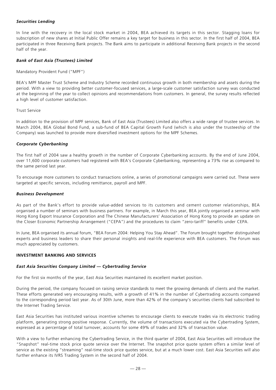## *Securities Lending*

In line with the recovery in the local stock market in 2004, BEA achieved its targets in this sector. Stagging loans for subscription of new shares at Initial Public Offer remains a key target for business in this sector. In the first half of 2004, BEA participated in three Receiving Bank projects. The Bank aims to participate in additional Receiving Bank projects in the second half of the year.

## *Bank of East Asia (Trustees) Limited*

Mandatory Provident Fund ("MPF")

BEA's MPF Master Trust Scheme and Industry Scheme recorded continuous growth in both membership and assets during the period. With a view to providing better customer-focused services, a large-scale customer satisfaction survey was conducted at the beginning of the year to collect opinions and recommendations from customers. In general, the survey results reflected a high level of customer satisfaction.

#### Trust Service

In addition to the provision of MPF services, Bank of East Asia (Trustees) Limited also offers a wide range of trustee services. In March 2004, BEA Global Bond Fund, a sub-fund of BEA Capital Growth Fund (which is also under the trusteeship of the Company) was launched to provide more diversified investment options for the MPF Schemes.

#### *Corporate Cyberbanking*

The first half of 2004 saw a healthy growth in the number of Corporate Cyberbanking accounts. By the end of June 2004, over 11,600 corporate customers had registered with BEA's Corporate Cyberbanking, representing a 73% rise as compared to the same period last year.

To encourage more customers to conduct transactions online, a series of promotional campaigns were carried out. These were targeted at specific services, including remittance, payroll and MPF.

#### *Business Development*

As part of the Bank's effort to provide value-added services to its customers and cement customer relationships, BEA organised a number of seminars with business partners. For example, in March this year, BEA jointly organised a seminar with Hong Kong Export Insurance Corporation and The Chinese Manufacturers' Association of Hong Kong to provide an update on the Closer Economic Partnership Arrangement ("CEPA") and the procedures to claim "zero-tariff" benefits under CEPA.

In June, BEA organised its annual forum, "BEA Forum 2004: Helping You Stay Ahead". The Forum brought together distinguished experts and business leaders to share their personal insights and real-life experience with BEA customers. The Forum was much appreciated by customers.

## **INVESTMENT BANKING AND SERVICES**

## *East Asia Securities Company Limited — Cybertrading Service*

For the first six months of the year, East Asia Securities maintained its excellent market position.

During the period, the company focused on raising service standards to meet the growing demands of clients and the market. These efforts generated very encouraging results, with a growth of 41% in the number of Cybertrading accounts compared to the corresponding period last year. As of 30th June, more than 42% of the company's securities clients had subscribed to the Internet Trading Service.

East Asia Securities has instituted various incentive schemes to encourage clients to execute trades via its electronic trading platform, generating strong positive response. Currently, the volume of transactions executed via the Cybertrading System, expressed as a percentage of total turnover, accounts for some 49% of trades and 32% of transaction value.

With a view to further enhancing the Cybertrading Service, in the third quarter of 2004, East Asia Securities will introduce the "Snapshot" real-time stock price quote service over the Internet. The snapshot price quote system offers a similar level of service as the existing "streaming" real-time stock price quotes service, but at a much lower cost. East Asia Securities will also further enhance its IVRS Trading System in the second half of 2004.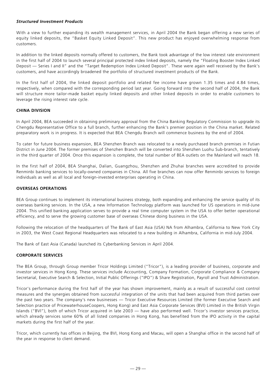## *Structured Investment Products*

With a view to further expanding its wealth management services, in April 2004 the Bank began offering a new series of equity linked deposits, the "Basket Equity Linked Deposit". This new product has enjoyed overwhelming response from customers.

In addition to the linked deposits normally offered to customers, the Bank took advantage of the low interest rate environment in the first half of 2004 to launch several principal protected index linked deposits, namely the "Floating Booster Index Linked Deposit — Series I and II" and the "Target Redemption Index Linked Deposit". These were again well received by the Bank's customers, and have accordingly broadened the portfolio of structured investment products of the Bank.

In the first half of 2004, the linked deposit portfolio and related fee income have grown 1.35 times and 4.84 times, respectively, when compared with the corresponding period last year. Going forward into the second half of 2004, the Bank will structure more tailor-made basket equity linked deposits and other linked deposits in order to enable customers to leverage the rising interest rate cycle.

## **CHINA DIVISION**

In April 2004, BEA succeeded in obtaining preliminary approval from the China Banking Regulatory Commission to upgrade its Chengdu Representative Office to a full branch, further enhancing the Bank's premier position in the China market. Related preparatory work is in progress. It is expected that BEA Chengdu Branch will commence business by the end of 2004.

To cater for future business expansion, BEA Shenzhen Branch was relocated to a newly purchased branch premises in Futian District in June 2004. The former premises of Shenzhen Branch will be converted into Shenzhen Luohu Sub-branch, tentatively in the third quarter of 2004. Once this expansion is complete, the total number of BEA outlets on the Mainland will reach 18.

In the first half of 2004, BEA Shanghai, Dalian, Guangzhou, Shenzhen and Zhuhai branches were accredited to provide Renminbi banking services to locally-owned companies in China. All five branches can now offer Renminbi services to foreign individuals as well as all local and foreign-invested enterprises operating in China.

## **OVERSEAS OPERATIONS**

BEA Group continues to implement its international business strategy, both expanding and enhancing the service quality of its overseas banking services. In the USA, a new Information Technology platform was launched for US operations in mid-June 2004. This unified banking application serves to provide a real time computer system in the USA to offer better operational efficiency, and to serve the growing customer base of overseas Chinese doing business in the USA.

Following the relocation of the headquarters of The Bank of East Asia (USA) NA from Alhambra, California to New York City in 2003, the West Coast Regional Headquarters was relocated to a new building in Alhambra, California in mid-July 2004.

The Bank of East Asia (Canada) launched its Cyberbanking Services in April 2004.

## **CORPORATE SERVICES**

The BEA Group, through Group member Tricor Holdings Limited ("Tricor"), is a leading provider of business, corporate and investor services in Hong Kong. These services include Accounting, Company Formation, Corporate Compliance & Company Secretarial, Executive Search & Selection, Initial Public Offerings ("IPO") & Share Registration, Payroll and Trust Administration.

Tricor's performance during the first half of the year has shown improvement, mainly as a result of successful cost control measures and the synergies obtained from successful integration of the units that had been acquired from third parties over the past two years. The company's new businesses — Tricor Executive Resources Limited (the former Executive Search and Selection practice of PricewaterhouseCoopers, Hong Kong) and East Asia Corporate Services (BVI) Limited in the British Virgin Islands ("BVI"), both of which Tricor acquired in late 2003 — have also performed well. Tricor's investor services practice, which already services some 60% of all listed companies in Hong Kong, has benefited from the IPO activity in the capital markets during the first half of the year.

Tricor, which currently has offices in Beijing, the BVI, Hong Kong and Macau, will open a Shanghai office in the second half of the year in response to client demand.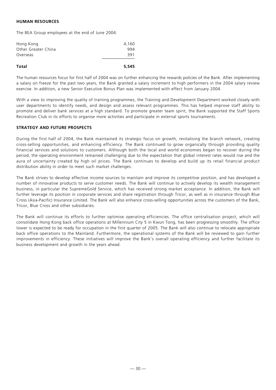## **HUMAN RESOURCES**

The BEA Group employees at the end of June 2004:

| Hong Kong           | 4,160 |
|---------------------|-------|
| Other Greater China | 994   |
| Overseas            | 391   |
|                     |       |

## **Total 5,545**

The human resources focus for first half of 2004 was on further enhancing the rewards policies of the Bank. After implementing a salary on freeze for the past two years, the Bank granted a salary increment to high performers in the 2004 salary review exercise. In addition, a new Senior Executive Bonus Plan was implemented with effect from January 2004.

With a view to improving the quality of training programmes, the Training and Development Department worked closely with user departments to identify needs, and design and assess relevant programmes. This has helped improve staff ability to promote and deliver bank services at a high standard. To promote greater team spirit, the Bank supported the Staff Sports Recreation Club in its efforts to organise more activities and participate in external sports tournaments.

## **STRATEGY AND FUTURE PROSPECTS**

During the first half of 2004, the Bank maintained its strategic focus on growth, revitalising the branch network, creating cross-selling opportunities, and enhancing efficiency. The Bank continued to grow organically through providing quality financial services and solutions to customers. Although both the local and world economies began to recover during the period, the operating environment remained challenging due to the expectation that global interest rates would rise and the aura of uncertainty created by high oil prices. The Bank continues to develop and build up its retail financial product distribution ability in order to meet such market challenges.

The Bank strives to develop effective income sources to maintain and improve its competitive position, and has developed a number of innovative products to serve customer needs. The Bank will continue to actively develop its wealth management business, in particular the SupremeGold Service, which has received strong market acceptance. In addition, the Bank will further leverage its position in corporate services and share registration through Tricor, as well as in insurance through Blue Cross (Asia-Pacific) Insurance Limited. The Bank will also enhance cross-selling opportunities across the customers of the Bank, Tricor, Blue Cross and other subsidiaries.

The Bank will continue its efforts to further optimise operating efficiencies. The office centralisation project, which will consolidate Hong Kong back office operations at Millennium City 5 in Kwun Tong, has been progressing smoothly. The office tower is expected to be ready for occupation in the first quarter of 2005. The Bank will also continue to relocate appropriate back office operations to the Mainland. Furthermore, the operational systems of the Bank will be reviewed to gain further improvements in efficiency. These initiatives will improve the Bank's overall operating efficiency and further facilitate its business development and growth in the years ahead.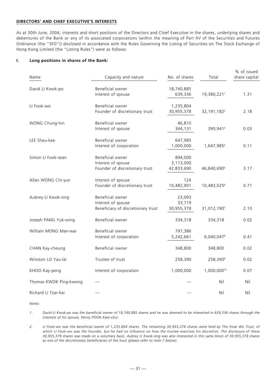## **DIRECTORS' AND CHIEF EXECUTIVE'S INTERESTS**

As at 30th June, 2004, interests and short positions of the Directors and Chief Executive in the shares, underlying shares and debentures of the Bank or any of its associated corporations (within the meaning of Part XV of the Securities and Futures Ordinance (the "SFO")) disclosed in accordance with the Rules Governing the Listing of Securities on The Stock Exchange of Hong Kong Limited (the "Listing Rules") were as follows:

## **I. Long positions in shares of the Bank:**

| Name                   | Capacity and nature                                                          | No. of shares                      | Total                     | % of issued<br>share capital |
|------------------------|------------------------------------------------------------------------------|------------------------------------|---------------------------|------------------------------|
| David LI Kwok-po       | Beneficial owner<br>Interest of spouse                                       | 18,740,885<br>639,336              | 19,380,2211               | 1.31                         |
| LI Fook-wo             | Beneficial owner<br>Founder of discretionary trust                           | 1,235,804<br>30,955,378            | 32, 191, 182 <sup>2</sup> | 2.18                         |
| WONG Chung-hin         | Beneficial owner<br>Interest of spouse                                       | 46,810<br>344,131                  | 390,941 <sup>3</sup>      | 0.03                         |
| LEE Shau-kee           | Beneficial owner<br>Interest of corporation                                  | 647,985<br>1,000,000               | 1,647,9854                | 0.11                         |
| Simon LI Fook-sean     | Beneficial owner<br>Interest of spouse<br>Founder of discretionary trust     | 894,000<br>3,113,000<br>42,833,690 | 46,840,690 <sup>5</sup>   | 3.17                         |
| Allan WONG Chi-yun     | Interest of spouse<br>Founder of discretionary trust                         | 124<br>10,482,901                  | 10,483,0256               | 0.71                         |
| Aubrey LI Kwok-sing    | Beneficial owner<br>Interest of spouse<br>Beneficiary of discretionary trust | 23,093<br>33,719<br>30,955,378     | 31,012,1907               | 2.10                         |
| Joseph PANG Yuk-wing   | Beneficial owner                                                             | 334,318                            | 334,318                   | 0.02                         |
| William MONG Man-wai   | Beneficial owner<br>Interest of corporation                                  | 797,386<br>5,242,661               | 6,040,0478                | 0.41                         |
| CHAN Kay-cheung        | Beneficial owner                                                             | 348,800                            | 348,800                   | 0.02                         |
| Winston LO Yau-lai     | Trustee of trust                                                             | 258,390                            | 258,390 <sup>9</sup>      | 0.02                         |
| KHOO Kay-peng          | Interest of corporation                                                      | 1,000,000                          | 1,000,00010               | 0.07                         |
| Thomas KWOK Ping-kwong |                                                                              |                                    | Nil                       | Nil                          |
| Richard LI Tzar-kai    |                                                                              |                                    | Nil                       | Nil                          |

*Notes:*

*1. David LI Kwok-po was the beneficial owner of 18,740,885 shares and he was deemed to be interested in 639,336 shares through the interests of his spouse, Penny POON Kam-chui.*

*2. LI Fook-wo was the beneficial owner of 1,235,804 shares. The remaining 30,955,378 shares were held by The Fook Wo Trust, of which LI Fook-wo was the founder, but he had no influence on how the trustee exercises his discretion. The disclosure of these 30,955,378 shares was made on a voluntary basis. Aubrey LI Kwok-sing was also interested in this same block of 30,955,378 shares as one of the discretionary beneficiaries of the trust (please refer to note 7 below).*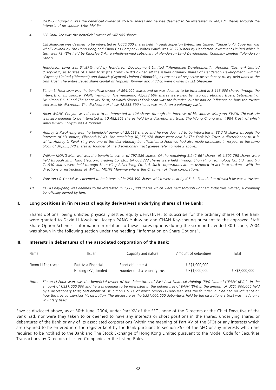- *3. WONG Chung-hin was the beneficial owner of 46,810 shares and he was deemed to be interested in 344,131 shares through the interests of his spouse, LAM Mei-lin.*
- *4. LEE Shau-kee was the beneficial owner of 647,985 shares.*

*LEE Shau-kee was deemed to be interested in 1,000,000 shares held through Superfun Enterprises Limited ("Superfun"). Superfun was wholly owned by The Hong Kong and China Gas Company Limited which was 36.72% held by Henderson Investment Limited which in turn was 73.48% held by Kingslee S.A., a wholly-owned subsidiary of Henderson Land Development Company Limited ("Henderson Land").*

*Henderson Land was 61.87% held by Henderson Development Limited ("Henderson Development"). Hopkins (Cayman) Limited ("Hopkins") as trustee of a unit trust (the "Unit Trust") owned all the issued ordinary shares of Henderson Development. Rimmer (Cayman) Limited ("Rimmer") and Riddick (Cayman) Limited ("Riddick"), as trustees of respective discretionary trusts, held units in the Unit Trust. The entire issued share capital of Hopkins, Rimmer and Riddick were owned by LEE Shau-kee.*

- *5. Simon LI Fook-sean was the beneficial owner of 894,000 shares and he was deemed to be interested in 3,113,000 shares through the interests of his spouse, YANG Yen-ying. The remaining 42,833,690 shares were held by two discretionary trusts, Settlement of Dr. Simon F.S. Li and The Longevity Trust, of which Simon LI Fook-sean was the founder, but he had no influence on how the trustee exercises his discretion. The disclosure of these 42,833,690 shares was made on a voluntary basis.*
- *6. Allan WONG Chi-yun was deemed to be interested in 124 shares through the interests of his spouse, Margaret KWOK Chi-wai. He was also deemed to be interested in 10,482,901 shares held by a discretionary trust, The Wong Chung Man 1984 Trust, of which Allan WONG Chi-yun was a founder.*
- *7. Aubrey LI Kwok-sing was the beneficial owner of 23,093 shares and he was deemed to be interested in 33,719 shares through the interests of his spouse, Elizabeth WOO. The remaining 30,955,378 shares were held by The Fook Wo Trust, a discretionary trust in which Aubrey LI Kwok-sing was one of the discretionary beneficiaries. LI Fook-wo had also made disclosure in respect of the same block of 30,955,378 shares as founder of the discretionary trust (please refer to note 2 above).*
- *8. William MONG Man-wai was the beneficial owner of 797,386 shares. Of the remaining 5,242,661 shares, (i) 4,502,798 shares were held through Shun Hing Electronic Trading Co. Ltd., (ii) 668,323 shares were held through Shun Hing Technology Co. Ltd., and (iii) 71,540 shares were held through Shun Hing Advertising Co. Ltd. Such corporations are accustomed to act in accordance with the directions or instructions of William MONG Man-wai who is the Chairman of these corporations.*
- *9. Winston LO Yau-lai was deemed to be interested in 258,390 shares which were held by K.S. Lo Foundation of which he was a trustee.*
- *10. KHOO Kay-peng was deemed to be interested in 1,000,000 shares which were held through Bonham Industries Limited, a company beneficially owned by him.*

#### **II. Long positions in (in respect of equity derivatives) underlying shares of the Bank:**

Shares options, being unlisted physically settled equity derivatives, to subscribe for the ordinary shares of the Bank were granted to David LI Kwok-po, Joseph PANG Yuk-wing and CHAN Kay-cheung pursuant to the approved Staff Share Option Schemes. Information in relation to these shares options during the six months ended 30th June, 2004 was shown in the following section under the heading "Information on Share Options".

## **III. Interests in debentures of the associated corporation of the Bank:**

| Name<br>$\sim$ 0.000 $\sim$ | Issuer                | Capacity and nature            | Amount of debentures | Total         |
|-----------------------------|-----------------------|--------------------------------|----------------------|---------------|
| Simon LI Fook-sean          | East Asia Financial   | Beneficial interest            | US\$1,000,000        |               |
|                             | Holding (BVI) Limited | Founder of discretionary trust | US\$1,000,000        | US\$2,000,000 |

*Note: Simon LI Fook-sean was the beneficial owner of the debentures of East Asia Financial Holding (BVI) Limited ("EAFH (BVI)") in the amount of US\$1,000,000 and he was deemed to be interested in the debentures of EAFH (BVI) in the amount of US\$1,000,000 held by a discretionary trust, Settlement of Dr. Simon F.S. Li, of which Simon LI Fook-sean was the founder, but he had no influence on how the trustee exercises his discretion. The disclosure of the US\$1,000,000 debentures held by the discretionary trust was made on a voluntary basis.*

Save as disclosed above, as at 30th June, 2004, under Part XV of the SFO, none of the Directors or the Chief Executive of the Bank had, nor were they taken to or deemed to have any interests or short positions in the shares, underlying shares or debentures of the Bank or any of its associated corporations (within the meaning of Part XV of the SFO) or any interests which are required to be entered into the register kept by the Bank pursuant to section 352 of the SFO or any interests which are required to be notified to the Bank and The Stock Exchange of Hong Kong Limited pursuant to the Model Code for Securities Transactions by Directors of Listed Companies in the Listing Rules.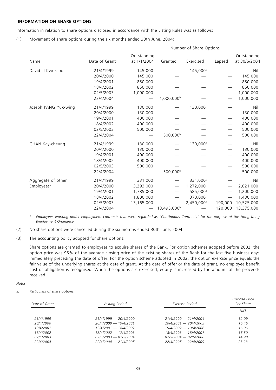## **INFORMATION ON SHARE OPTIONS**

Information in relation to share options disclosed in accordance with the Listing Rules was as follows:

(1) Movement of share options during the six months ended 30th June, 2004:

|                      |                            | Number of Share Options    |                         |            |         |                             |
|----------------------|----------------------------|----------------------------|-------------------------|------------|---------|-----------------------------|
| Name                 | Date of Grant <sup>a</sup> | Outstanding<br>at 1/1/2004 | Granted                 | Exercised  | Lapsed  | Outstanding<br>at 30/6/2004 |
| David LI Kwok-po     | 21/4/1999                  | 145,000                    |                         | 145,000c   |         | Nil                         |
|                      | 20/4/2000                  | 145,000                    |                         |            |         | 145,000                     |
|                      | 19/4/2001                  | 850,000                    |                         |            |         | 850,000                     |
|                      | 18/4/2002                  | 850,000                    |                         |            |         | 850,000                     |
|                      | 02/5/2003                  | 1,000,000                  |                         |            |         | 1,000,000                   |
|                      | 22/4/2004                  |                            | 1,000,000 <sup>b</sup>  |            |         | 1,000,000                   |
| Joseph PANG Yuk-wing | 21/4/1999                  | 130,000                    |                         | 130,000c   |         | Nil                         |
|                      | 20/4/2000                  | 130,000                    |                         |            |         | 130,000                     |
|                      | 19/4/2001                  | 400,000                    |                         |            |         | 400,000                     |
|                      | 18/4/2002                  | 400,000                    |                         |            |         | 400,000                     |
|                      | 02/5/2003                  | 500,000                    |                         |            |         | 500,000                     |
|                      | 22/4/2004                  |                            | 500,000 <sup>b</sup>    |            |         | 500,000                     |
| CHAN Kay-cheung      | 21/4/1999                  | 130,000                    |                         | 130,000c   |         | Nil                         |
|                      | 20/4/2000                  | 130,000                    |                         |            |         | 130,000                     |
|                      | 19/4/2001                  | 400,000                    |                         |            |         | 400,000                     |
|                      | 18/4/2002                  | 400,000                    |                         |            |         | 400,000                     |
|                      | 02/5/2003                  | 500,000                    |                         |            |         | 500,000                     |
|                      | 22/4/2004                  |                            | 500,000 <sup>b</sup>    |            |         | 500,000                     |
| Aggregate of other   | 21/4/1999                  | 331,000                    |                         | 331,000c   |         | Nil                         |
| Employees*           | 20/4/2000                  | 3,293,000                  |                         | 1,272,000c |         | 2,021,000                   |
|                      | 19/4/2001                  | 1,785,000                  |                         | 585,000c   |         | 1,200,000                   |
|                      | 18/4/2002                  | 1,800,000                  |                         | 370,000c   |         | 1,430,000                   |
|                      | 02/5/2003                  | 13,165,000                 |                         | 2,450,000c | 190,000 | 10,525,000                  |
|                      | 22/4/2004                  |                            | 13,495,000 <sup>b</sup> |            | 120,000 | 13,375,000                  |

*\* Employees working under employment contracts that were regarded as "Continuous Contracts" for the purpose of the Hong Kong Employment Ordinance.*

- (2) No share options were cancelled during the six months ended 30th June, 2004.
- (3) The accounting policy adopted for share options:

Share options are granted to employees to acquire shares of the Bank. For option schemes adopted before 2002, the option price was 95% of the average closing price of the existing shares of the Bank for the last five business days immediately preceding the date of offer. For the option scheme adopted in 2002, the option exercise price equals the fair value of the underlying shares at the date of grant. At the date of offer or the date of grant, no employee benefit cost or obligation is recognised. When the options are exercised, equity is increased by the amount of the proceeds received.

#### *Notes:*

*a. Particulars of share options:*

| Date of Grant    | Vesting Period          | Exercise Period         | Exercise Price<br>Per Share |
|------------------|-------------------------|-------------------------|-----------------------------|
|                  |                         |                         | HK\$                        |
| 21/4/1999        | $21/4/1999 - 20/4/2000$ | 21/4/2000 - 21/4/2004   | 12.09                       |
| <i>201412000</i> | 20/4/2000 - 19/4/2001   | 20/4/2001 - 20/4/2005   | 16.46                       |
| 19/4/2001        | 19/4/2001 — 18/4/2002   | 19/4/2002 — 19/4/2006   | 16.96                       |
| <i>18/4/2002</i> | 18/4/2002 - 17/4/2003   | 18/4/2003 — 18/4/2007   | 15.80                       |
| 02/5/2003        | $02/5/2003 - 01/5/2004$ | $02/5/2004 - 02/5/2008$ | 14.90                       |
| 22/4/2004        | $22/4/2004 - 21/4/2005$ | $22/4/2005 - 22/4/2009$ | 23.23                       |